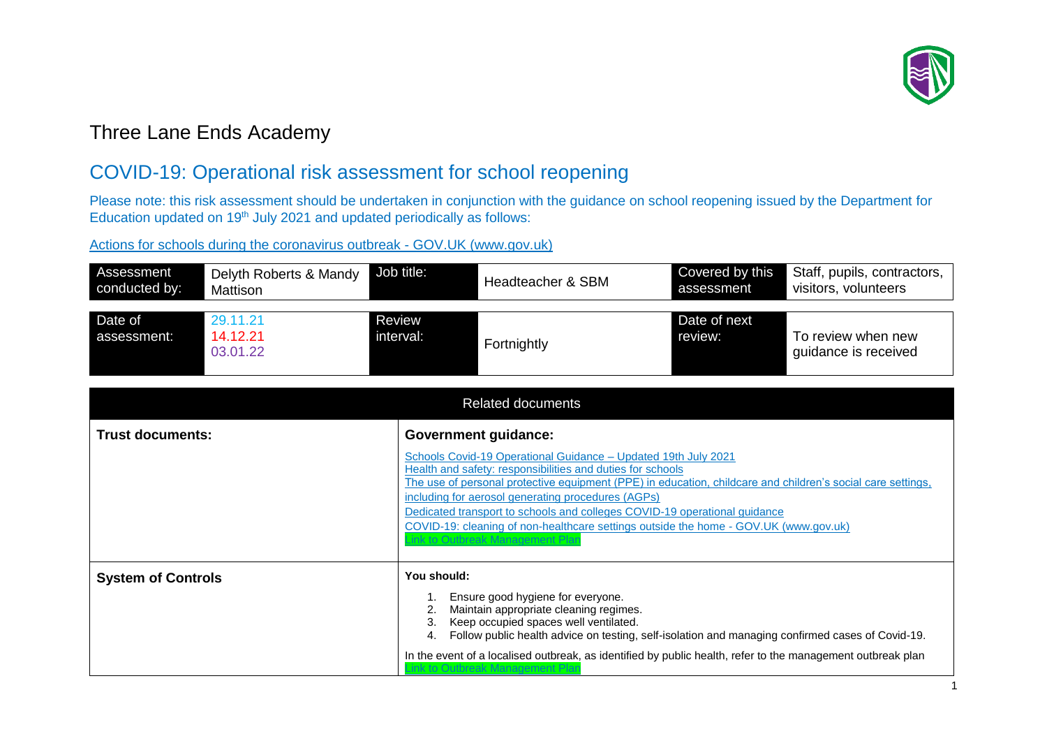

## Three Lane Ends Academy

## COVID-19: Operational risk assessment for school reopening

Please note: this risk assessment should be undertaken in conjunction with the guidance on school reopening issued by the Department for Education updated on 19<sup>th</sup> July 2021 and updated periodically as follows:

[Actions for schools during the coronavirus outbreak -](https://www.gov.uk/government/publications/actions-for-schools-during-the-coronavirus-outbreak) GOV.UK (www.gov.uk)

| visitors, volunteers<br>assessment                         |
|------------------------------------------------------------|
| Date of next<br>To review when new<br>guidance is received |
|                                                            |

|                           | <b>Related documents</b>                                                                                                                                                                                                                                                                                                                                                                                                                                                                                  |  |  |  |  |  |  |  |  |  |  |
|---------------------------|-----------------------------------------------------------------------------------------------------------------------------------------------------------------------------------------------------------------------------------------------------------------------------------------------------------------------------------------------------------------------------------------------------------------------------------------------------------------------------------------------------------|--|--|--|--|--|--|--|--|--|--|
| <b>Trust documents:</b>   | <b>Government guidance:</b>                                                                                                                                                                                                                                                                                                                                                                                                                                                                               |  |  |  |  |  |  |  |  |  |  |
|                           | Schools Covid-19 Operational Guidance - Updated 19th July 2021<br>Health and safety: responsibilities and duties for schools<br>The use of personal protective equipment (PPE) in education, childcare and children's social care settings,<br>including for aerosol generating procedures (AGPs)<br>Dedicated transport to schools and colleges COVID-19 operational guidance<br>COVID-19: cleaning of non-healthcare settings outside the home - GOV.UK (www.gov.uk)<br>ink to Outbreak Management Plar |  |  |  |  |  |  |  |  |  |  |
| <b>System of Controls</b> | You should:<br>Ensure good hygiene for everyone.<br>2. Maintain appropriate cleaning regimes.<br>Keep occupied spaces well ventilated.<br>3.<br>Follow public health advice on testing, self-isolation and managing confirmed cases of Covid-19.<br>4.<br>In the event of a localised outbreak, as identified by public health, refer to the management outbreak plan<br>Dutbreak Management                                                                                                              |  |  |  |  |  |  |  |  |  |  |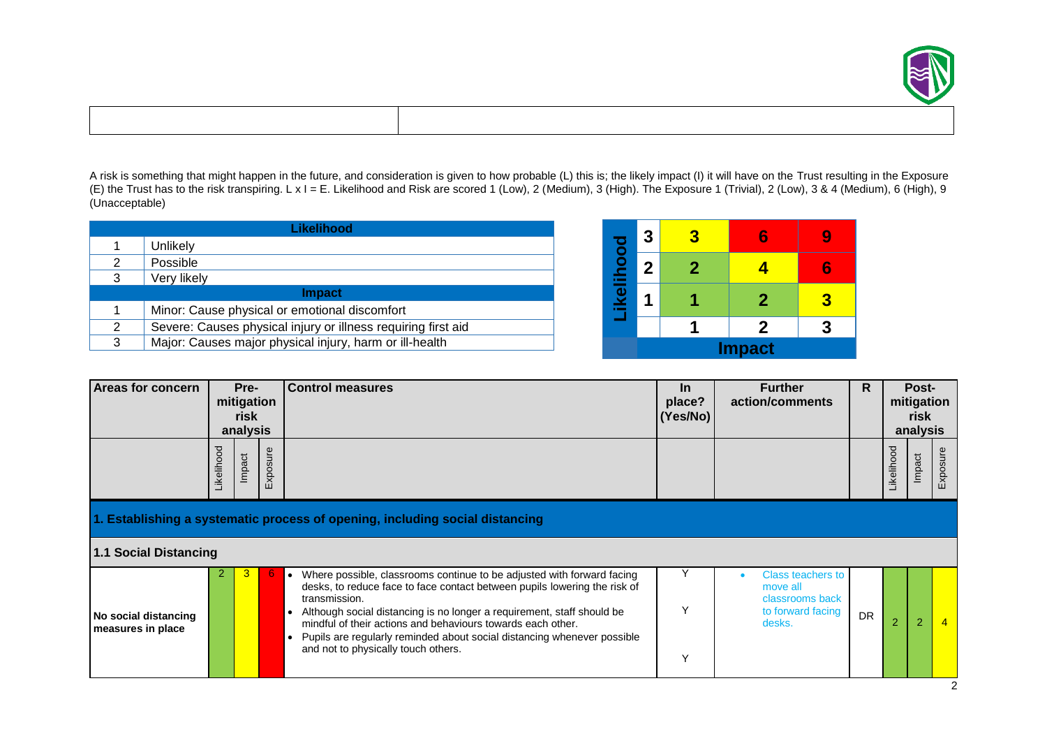

A risk is something that might happen in the future, and consideration is given to how probable (L) this is; the likely impact (I) it will have on the Trust resulting in the Exposure (E) the Trust has to the risk transpiring. L x I = E. Likelihood and Risk are scored 1 (Low), 2 (Medium), 3 (High). The Exposure 1 (Trivial), 2 (Low), 3 & 4 (Medium), 6 (High), 9 (Unacceptable)

|   | Likelihood                                                    |  |  |  |  |  |  |  |  |
|---|---------------------------------------------------------------|--|--|--|--|--|--|--|--|
| 1 | Unlikely                                                      |  |  |  |  |  |  |  |  |
| 2 | Possible                                                      |  |  |  |  |  |  |  |  |
| 3 | Very likely                                                   |  |  |  |  |  |  |  |  |
|   | <b>Impact</b>                                                 |  |  |  |  |  |  |  |  |
| 1 | Minor: Cause physical or emotional discomfort                 |  |  |  |  |  |  |  |  |
| 2 | Severe: Causes physical injury or illness requiring first aid |  |  |  |  |  |  |  |  |
| 3 | Major: Causes major physical injury, harm or ill-health       |  |  |  |  |  |  |  |  |

|               | 3 | 2 |              |   |  |  |  |  |  |
|---------------|---|---|--------------|---|--|--|--|--|--|
|               | 2 | 2 |              |   |  |  |  |  |  |
| ikelihood     |   |   | $\mathbf{2}$ | З |  |  |  |  |  |
|               |   |   | $\mathbf{2}$ | R |  |  |  |  |  |
| <b>Impact</b> |   |   |              |   |  |  |  |  |  |

| <b>Areas for concern</b>                  | Pre-<br>mitigation<br>risk<br>analysis |        |              | <b>Control measures</b>                                                                                                                                                                                                                                                                                                                                                                                                                                   | <u>In</u><br>place?<br>(Yes/No) | <b>Further</b><br>action/comments                                                      | R.        |                | Post-<br>mitigation<br>risk<br>analysis |                |
|-------------------------------------------|----------------------------------------|--------|--------------|-----------------------------------------------------------------------------------------------------------------------------------------------------------------------------------------------------------------------------------------------------------------------------------------------------------------------------------------------------------------------------------------------------------------------------------------------------------|---------------------------------|----------------------------------------------------------------------------------------|-----------|----------------|-----------------------------------------|----------------|
|                                           | Likelihood                             | Impact | xposure<br>ш |                                                                                                                                                                                                                                                                                                                                                                                                                                                           |                                 |                                                                                        |           | Likelihood     | Impact                                  | sure<br>Ъф     |
|                                           |                                        |        |              | 1. Establishing a systematic process of opening, including social distancing                                                                                                                                                                                                                                                                                                                                                                              |                                 |                                                                                        |           |                |                                         |                |
| <b>1.1 Social Distancing</b>              |                                        |        |              |                                                                                                                                                                                                                                                                                                                                                                                                                                                           |                                 |                                                                                        |           |                |                                         |                |
| No social distancing<br>measures in place |                                        |        |              | Where possible, classrooms continue to be adjusted with forward facing<br>$\bullet$<br>desks, to reduce face to face contact between pupils lowering the risk of<br>transmission.<br>Although social distancing is no longer a requirement, staff should be<br>mindful of their actions and behaviours towards each other.<br>Pupils are regularly reminded about social distancing whenever possible<br>$\bullet$<br>and not to physically touch others. | $\checkmark$                    | <b>Class teachers to</b><br>move all<br>classrooms back<br>to forward facing<br>desks. | <b>DR</b> | $\overline{2}$ | $\overline{2}$                          | $\overline{4}$ |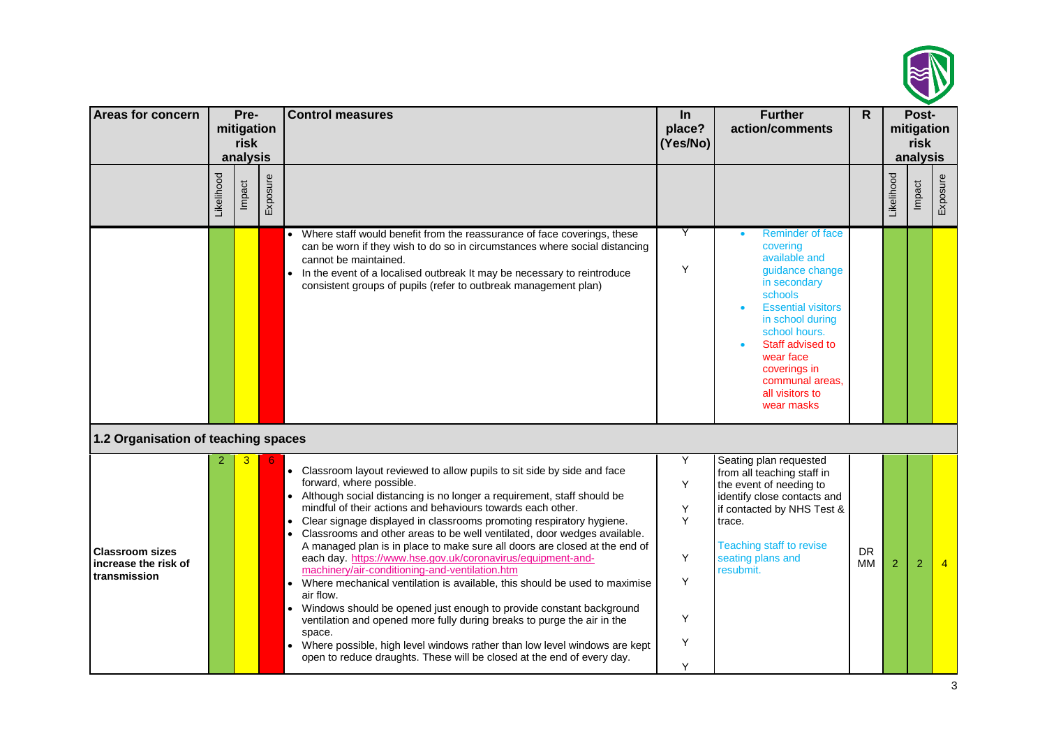

| Areas for concern                                              | Pre-<br>mitigation |                    |          | <b>Control measures</b>                                                                                                                                                                                                                                                                                                                                                                                                                                                                                                                                                                                                                                                                                                                                                                                                                                                                                                                                                                                                                    | $\ln$                                     | <b>Further</b>                                                                                                                                                                                                                                                            | $\mathsf{R}$    |                | Post-              |                |
|----------------------------------------------------------------|--------------------|--------------------|----------|--------------------------------------------------------------------------------------------------------------------------------------------------------------------------------------------------------------------------------------------------------------------------------------------------------------------------------------------------------------------------------------------------------------------------------------------------------------------------------------------------------------------------------------------------------------------------------------------------------------------------------------------------------------------------------------------------------------------------------------------------------------------------------------------------------------------------------------------------------------------------------------------------------------------------------------------------------------------------------------------------------------------------------------------|-------------------------------------------|---------------------------------------------------------------------------------------------------------------------------------------------------------------------------------------------------------------------------------------------------------------------------|-----------------|----------------|--------------------|----------------|
|                                                                |                    | risk               |          |                                                                                                                                                                                                                                                                                                                                                                                                                                                                                                                                                                                                                                                                                                                                                                                                                                                                                                                                                                                                                                            | place?<br>(Yes/No)                        | action/comments                                                                                                                                                                                                                                                           |                 |                | mitigation<br>risk |                |
|                                                                | Likelihood         | analysis<br>Impact | Exposure |                                                                                                                                                                                                                                                                                                                                                                                                                                                                                                                                                                                                                                                                                                                                                                                                                                                                                                                                                                                                                                            |                                           |                                                                                                                                                                                                                                                                           |                 | Likelihood     | analysis<br>Impact | Exposure       |
|                                                                |                    |                    |          | • Where staff would benefit from the reassurance of face coverings, these<br>can be worn if they wish to do so in circumstances where social distancing<br>cannot be maintained.<br>• In the event of a localised outbreak It may be necessary to reintroduce<br>consistent groups of pupils (refer to outbreak management plan)                                                                                                                                                                                                                                                                                                                                                                                                                                                                                                                                                                                                                                                                                                           | Υ<br>Y                                    | <b>Reminder of face</b><br>covering<br>available and<br>guidance change<br>in secondary<br>schools<br><b>Essential visitors</b><br>in school during<br>school hours.<br>Staff advised to<br>wear face<br>coverings in<br>communal areas,<br>all visitors to<br>wear masks |                 |                |                    |                |
| 1.2 Organisation of teaching spaces                            |                    |                    |          |                                                                                                                                                                                                                                                                                                                                                                                                                                                                                                                                                                                                                                                                                                                                                                                                                                                                                                                                                                                                                                            |                                           |                                                                                                                                                                                                                                                                           |                 |                |                    |                |
| <b>Classroom sizes</b><br>increase the risk of<br>transmission |                    | 3                  |          | • Classroom layout reviewed to allow pupils to sit side by side and face<br>forward, where possible.<br>Although social distancing is no longer a requirement, staff should be<br>mindful of their actions and behaviours towards each other.<br>Clear signage displayed in classrooms promoting respiratory hygiene.<br>$\bullet$<br>Classrooms and other areas to be well ventilated, door wedges available.<br>A managed plan is in place to make sure all doors are closed at the end of<br>each day. https://www.hse.gov.uk/coronavirus/equipment-and-<br>machinery/air-conditioning-and-ventilation.htm<br>Where mechanical ventilation is available, this should be used to maximise<br>$\bullet$<br>air flow.<br>• Windows should be opened just enough to provide constant background<br>ventilation and opened more fully during breaks to purge the air in the<br>space.<br>Where possible, high level windows rather than low level windows are kept<br>open to reduce draughts. These will be closed at the end of every day. | Y<br>Y<br>Υ<br>Y<br>Y<br>Y<br>Y<br>Υ<br>Y | Seating plan requested<br>from all teaching staff in<br>the event of needing to<br>identify close contacts and<br>if contacted by NHS Test &<br>trace.<br><b>Teaching staff to revise</b><br>seating plans and<br>resubmit.                                               | <b>DR</b><br>МM | $\overline{2}$ | $\overline{2}$     | $\overline{4}$ |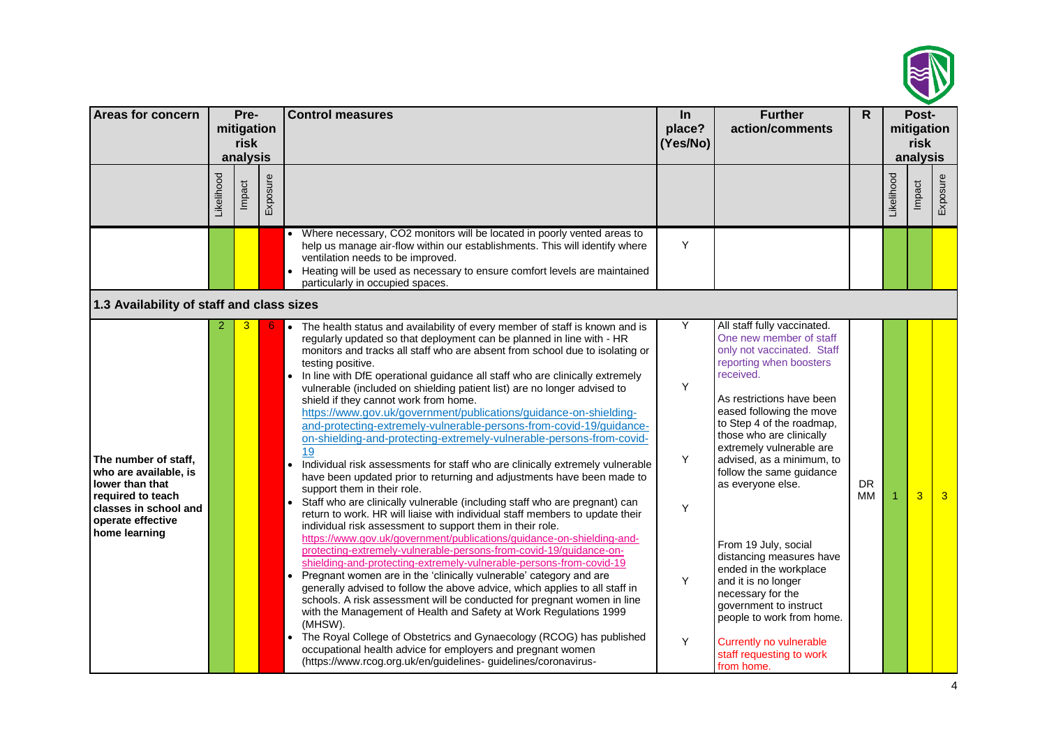

| <b>Areas for concern</b>                                                                                                                             |            | Pre-<br>mitigation<br>risk<br>analysis |          | <b>Control measures</b>                                                                                                                                                                                                                                                                                                                                                                                                                                                                                                                                                                                                                                                                                                                                                                                                                                                                                                                                                                                                                                                                                                                                                                                                                                                                                                                                                                                                                                                                                                                                                                                                                                                                                                                                                                                                                                                                                          | $\ln$<br>place?<br>(Yes/No) | <b>Further</b><br>action/comments                                                                                                                                                                                                                                                                                                                                                                                                                                                                                                                                                                              | R.              |            | Post-<br>mitigation<br>risk<br>analysis |                |
|------------------------------------------------------------------------------------------------------------------------------------------------------|------------|----------------------------------------|----------|------------------------------------------------------------------------------------------------------------------------------------------------------------------------------------------------------------------------------------------------------------------------------------------------------------------------------------------------------------------------------------------------------------------------------------------------------------------------------------------------------------------------------------------------------------------------------------------------------------------------------------------------------------------------------------------------------------------------------------------------------------------------------------------------------------------------------------------------------------------------------------------------------------------------------------------------------------------------------------------------------------------------------------------------------------------------------------------------------------------------------------------------------------------------------------------------------------------------------------------------------------------------------------------------------------------------------------------------------------------------------------------------------------------------------------------------------------------------------------------------------------------------------------------------------------------------------------------------------------------------------------------------------------------------------------------------------------------------------------------------------------------------------------------------------------------------------------------------------------------------------------------------------------------|-----------------------------|----------------------------------------------------------------------------------------------------------------------------------------------------------------------------------------------------------------------------------------------------------------------------------------------------------------------------------------------------------------------------------------------------------------------------------------------------------------------------------------------------------------------------------------------------------------------------------------------------------------|-----------------|------------|-----------------------------------------|----------------|
|                                                                                                                                                      | Likelihood | Impact                                 | Exposure |                                                                                                                                                                                                                                                                                                                                                                                                                                                                                                                                                                                                                                                                                                                                                                                                                                                                                                                                                                                                                                                                                                                                                                                                                                                                                                                                                                                                                                                                                                                                                                                                                                                                                                                                                                                                                                                                                                                  |                             |                                                                                                                                                                                                                                                                                                                                                                                                                                                                                                                                                                                                                |                 | Likelihood | Impact                                  | Exposure       |
|                                                                                                                                                      |            |                                        |          | • Where necessary, CO2 monitors will be located in poorly vented areas to<br>help us manage air-flow within our establishments. This will identify where<br>ventilation needs to be improved.<br>Heating will be used as necessary to ensure comfort levels are maintained<br>particularly in occupied spaces.                                                                                                                                                                                                                                                                                                                                                                                                                                                                                                                                                                                                                                                                                                                                                                                                                                                                                                                                                                                                                                                                                                                                                                                                                                                                                                                                                                                                                                                                                                                                                                                                   | Y                           |                                                                                                                                                                                                                                                                                                                                                                                                                                                                                                                                                                                                                |                 |            |                                         |                |
| 1.3 Availability of staff and class sizes                                                                                                            |            |                                        |          |                                                                                                                                                                                                                                                                                                                                                                                                                                                                                                                                                                                                                                                                                                                                                                                                                                                                                                                                                                                                                                                                                                                                                                                                                                                                                                                                                                                                                                                                                                                                                                                                                                                                                                                                                                                                                                                                                                                  |                             |                                                                                                                                                                                                                                                                                                                                                                                                                                                                                                                                                                                                                |                 |            |                                         |                |
| The number of staff,<br>who are available, is<br>lower than that<br>required to teach<br>classes in school and<br>operate effective<br>home learning |            |                                        |          | The health status and availability of every member of staff is known and is<br>$\bullet$<br>regularly updated so that deployment can be planned in line with - HR<br>monitors and tracks all staff who are absent from school due to isolating or<br>testing positive.<br>In line with DfE operational guidance all staff who are clinically extremely<br>$\bullet$<br>vulnerable (included on shielding patient list) are no longer advised to<br>shield if they cannot work from home.<br>https://www.gov.uk/government/publications/guidance-on-shielding-<br>and-protecting-extremely-vulnerable-persons-from-covid-19/guidance-<br>on-shielding-and-protecting-extremely-vulnerable-persons-from-covid-<br>19<br>Individual risk assessments for staff who are clinically extremely vulnerable<br>$\bullet$<br>have been updated prior to returning and adjustments have been made to<br>support them in their role.<br>Staff who are clinically vulnerable (including staff who are pregnant) can<br>$\bullet$<br>return to work. HR will liaise with individual staff members to update their<br>individual risk assessment to support them in their role.<br>https://www.gov.uk/government/publications/guidance-on-shielding-and-<br>protecting-extremely-vulnerable-persons-from-covid-19/guidance-on-<br>shielding-and-protecting-extremely-vulnerable-persons-from-covid-19<br>Pregnant women are in the 'clinically vulnerable' category and are<br>generally advised to follow the above advice, which applies to all staff in<br>schools. A risk assessment will be conducted for pregnant women in line<br>with the Management of Health and Safety at Work Regulations 1999<br>(MHSW).<br>The Royal College of Obstetrics and Gynaecology (RCOG) has published<br>occupational health advice for employers and pregnant women<br>(https://www.rcog.org.uk/en/guidelines-guidelines/coronavirus- | Y<br>Y<br>Y<br>Υ<br>Y<br>Y  | All staff fully vaccinated.<br>One new member of staff<br>only not vaccinated. Staff<br>reporting when boosters<br>received.<br>As restrictions have been<br>eased following the move<br>to Step 4 of the roadmap,<br>those who are clinically<br>extremely vulnerable are<br>advised, as a minimum, to<br>follow the same guidance<br>as everyone else.<br>From 19 July, social<br>distancing measures have<br>ended in the workplace<br>and it is no longer<br>necessary for the<br>government to instruct<br>people to work from home.<br>Currently no vulnerable<br>staff requesting to work<br>from home. | <b>DR</b><br>MМ |            | 3                                       | 3 <sup>1</sup> |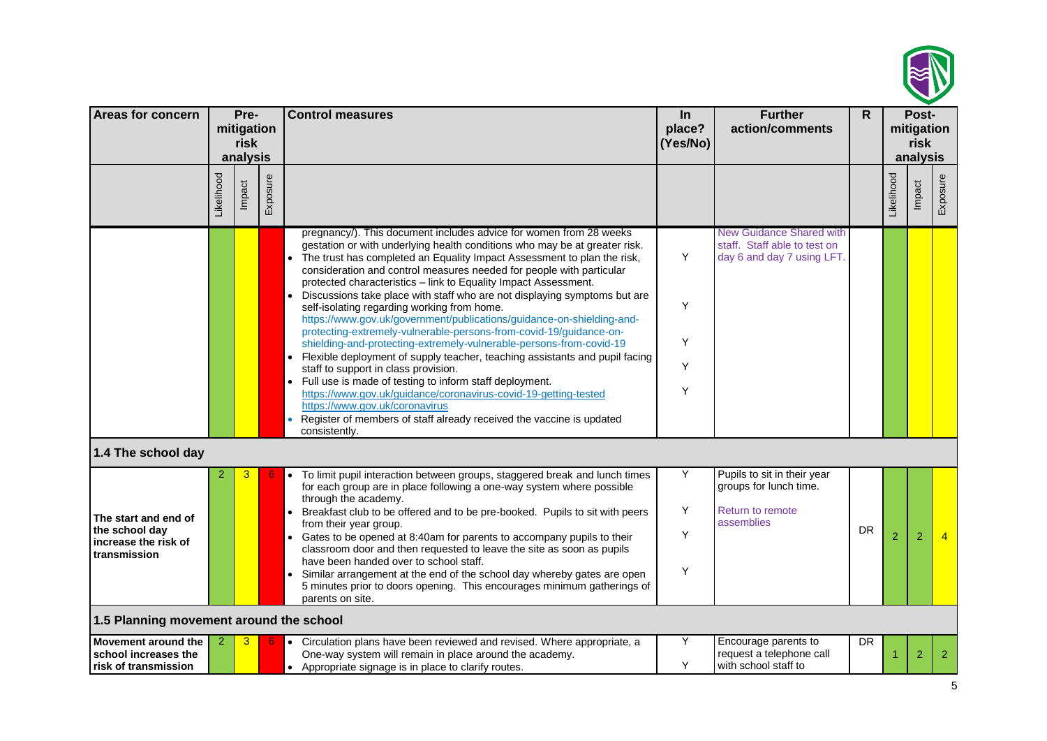

| Areas for concern                                                              | Pre-<br>mitigation<br>risk<br>analysis |        |          | <b>Control measures</b>                                                                                                                                                                                                                                                                                                                                                                                                                                                                                                                                                                                                                                                                                                                                                                                                                                                                                                                                                                                                                                                                                    | In<br>place?<br>(Yes/No) | <b>Further</b><br>action/comments                                                              | $\mathsf{R}$ |                | Post-<br>mitigation<br>risk<br>analysis |                |
|--------------------------------------------------------------------------------|----------------------------------------|--------|----------|------------------------------------------------------------------------------------------------------------------------------------------------------------------------------------------------------------------------------------------------------------------------------------------------------------------------------------------------------------------------------------------------------------------------------------------------------------------------------------------------------------------------------------------------------------------------------------------------------------------------------------------------------------------------------------------------------------------------------------------------------------------------------------------------------------------------------------------------------------------------------------------------------------------------------------------------------------------------------------------------------------------------------------------------------------------------------------------------------------|--------------------------|------------------------------------------------------------------------------------------------|--------------|----------------|-----------------------------------------|----------------|
|                                                                                | Likelihood                             | Impact | Exposure |                                                                                                                                                                                                                                                                                                                                                                                                                                                                                                                                                                                                                                                                                                                                                                                                                                                                                                                                                                                                                                                                                                            |                          |                                                                                                |              | Likelihood     | Impact                                  | Exposure       |
|                                                                                |                                        |        |          | pregnancy/). This document includes advice for women from 28 weeks<br>gestation or with underlying health conditions who may be at greater risk.<br>The trust has completed an Equality Impact Assessment to plan the risk,<br>consideration and control measures needed for people with particular<br>protected characteristics - link to Equality Impact Assessment.<br>Discussions take place with staff who are not displaying symptoms but are<br>self-isolating regarding working from home.<br>https://www.gov.uk/government/publications/guidance-on-shielding-and-<br>protecting-extremely-vulnerable-persons-from-covid-19/guidance-on-<br>shielding-and-protecting-extremely-vulnerable-persons-from-covid-19<br>Flexible deployment of supply teacher, teaching assistants and pupil facing<br>staff to support in class provision.<br>• Full use is made of testing to inform staff deployment.<br>https://www.gov.uk/guidance/coronavirus-covid-19-getting-tested<br>https://www.gov.uk/coronavirus<br>Register of members of staff already received the vaccine is updated<br>consistently. | Y<br>Υ<br>Y<br>Y<br>Υ    | <b>New Guidance Shared with</b><br>staff. Staff able to test on<br>day 6 and day 7 using LFT.  |              |                |                                         |                |
| 1.4 The school day                                                             |                                        |        |          |                                                                                                                                                                                                                                                                                                                                                                                                                                                                                                                                                                                                                                                                                                                                                                                                                                                                                                                                                                                                                                                                                                            |                          |                                                                                                |              |                |                                         |                |
| The start and end of<br>the school day<br>increase the risk of<br>transmission | 2                                      | 3      |          | To limit pupil interaction between groups, staggered break and lunch times<br>$\bullet$<br>for each group are in place following a one-way system where possible<br>through the academy.<br>Breakfast club to be offered and to be pre-booked. Pupils to sit with peers<br>from their year group.<br>• Gates to be opened at 8:40am for parents to accompany pupils to their<br>classroom door and then requested to leave the site as soon as pupils<br>have been handed over to school staff.<br>Similar arrangement at the end of the school day whereby gates are open<br>5 minutes prior to doors opening. This encourages minimum gatherings of<br>parents on site.                                                                                                                                                                                                                                                                                                                                                                                                                                  | Υ<br>Υ<br>Y<br>Υ         | Pupils to sit in their year<br>groups for lunch time.<br><b>Return to remote</b><br>assemblies | <b>DR</b>    | $\overline{2}$ | 2                                       |                |
| 1.5 Planning movement around the school                                        |                                        |        |          |                                                                                                                                                                                                                                                                                                                                                                                                                                                                                                                                                                                                                                                                                                                                                                                                                                                                                                                                                                                                                                                                                                            |                          |                                                                                                |              |                |                                         |                |
| Movement around the<br>school increases the<br>risk of transmission            |                                        | 3      |          | • Circulation plans have been reviewed and revised. Where appropriate, a<br>One-way system will remain in place around the academy.<br>• Appropriate signage is in place to clarify routes.                                                                                                                                                                                                                                                                                                                                                                                                                                                                                                                                                                                                                                                                                                                                                                                                                                                                                                                | Υ<br>Y                   | Encourage parents to<br>request a telephone call<br>with school staff to                       | <b>DR</b>    |                | $\overline{2}$                          | $\overline{2}$ |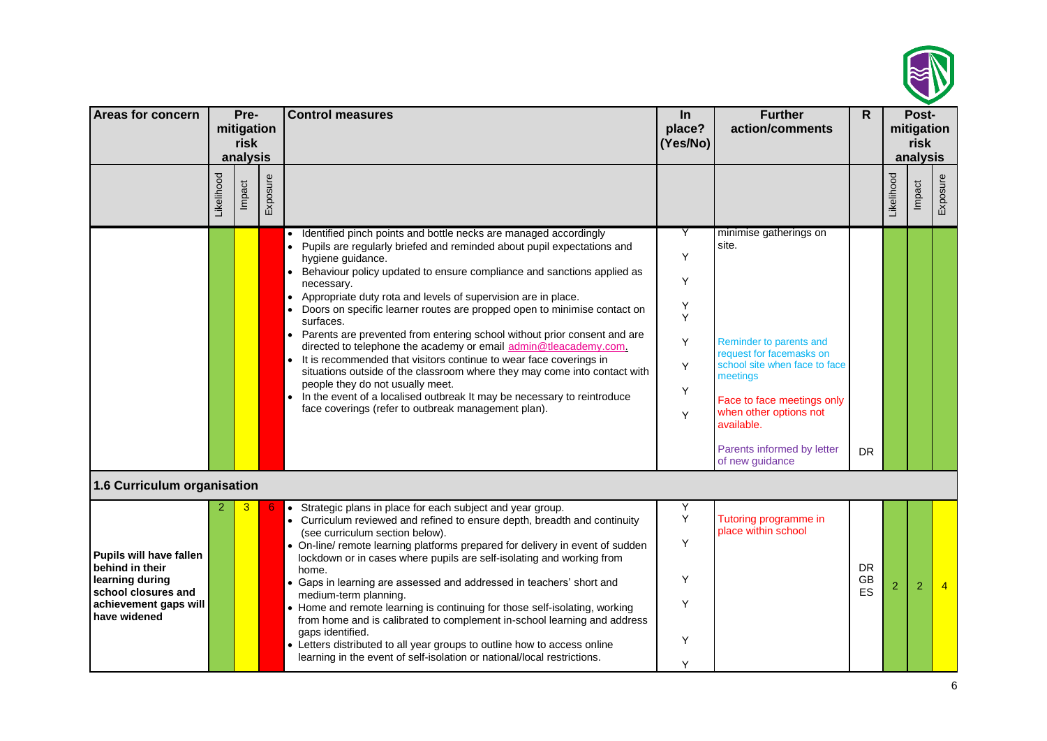

| Areas for concern                                                                                                             | Pre-<br>mitigation<br>risk<br>analysis |        |          | <b>Control measures</b>                                                                                                                                                                                                                                                                                                                                                                                                                                                                                                                                                                                                                                                                                                                                                                                                                                                                                                  | $\ln$<br>place?<br>(Yes/No)               | <b>Further</b><br>action/comments                                                                                                                                                                                                                          | $\mathsf{R}$          |            | Post-<br>mitigation<br>risk<br>analysis |          |
|-------------------------------------------------------------------------------------------------------------------------------|----------------------------------------|--------|----------|--------------------------------------------------------------------------------------------------------------------------------------------------------------------------------------------------------------------------------------------------------------------------------------------------------------------------------------------------------------------------------------------------------------------------------------------------------------------------------------------------------------------------------------------------------------------------------------------------------------------------------------------------------------------------------------------------------------------------------------------------------------------------------------------------------------------------------------------------------------------------------------------------------------------------|-------------------------------------------|------------------------------------------------------------------------------------------------------------------------------------------------------------------------------------------------------------------------------------------------------------|-----------------------|------------|-----------------------------------------|----------|
|                                                                                                                               | Likelihood                             | Impact | Exposure |                                                                                                                                                                                                                                                                                                                                                                                                                                                                                                                                                                                                                                                                                                                                                                                                                                                                                                                          |                                           |                                                                                                                                                                                                                                                            |                       | Likelihood | Impact                                  | Exposure |
|                                                                                                                               |                                        |        |          | Identified pinch points and bottle necks are managed accordingly<br>Pupils are regularly briefed and reminded about pupil expectations and<br>hygiene guidance.<br>Behaviour policy updated to ensure compliance and sanctions applied as<br>necessary.<br>Appropriate duty rota and levels of supervision are in place.<br>$\bullet$<br>Doors on specific learner routes are propped open to minimise contact on<br>surfaces.<br>• Parents are prevented from entering school without prior consent and are<br>directed to telephone the academy or email admin@tleacademy.com.<br>It is recommended that visitors continue to wear face coverings in<br>$\bullet$<br>situations outside of the classroom where they may come into contact with<br>people they do not usually meet.<br>• In the event of a localised outbreak It may be necessary to reintroduce<br>face coverings (refer to outbreak management plan). | Y<br>Υ<br>Y<br>Υ<br>Y<br>Y<br>Υ<br>Y<br>Υ | minimise gatherings on<br>site.<br>Reminder to parents and<br>request for facemasks on<br>school site when face to face<br>meetings<br>Face to face meetings only<br>when other options not<br>available.<br>Parents informed by letter<br>of new guidance | <b>DR</b>             |            |                                         |          |
| 1.6 Curriculum organisation                                                                                                   |                                        |        |          |                                                                                                                                                                                                                                                                                                                                                                                                                                                                                                                                                                                                                                                                                                                                                                                                                                                                                                                          |                                           |                                                                                                                                                                                                                                                            |                       |            |                                         |          |
| Pupils will have fallen<br>behind in their<br>learning during<br>school closures and<br>achievement gaps will<br>have widened |                                        | З      |          | • Strategic plans in place for each subject and year group.<br>• Curriculum reviewed and refined to ensure depth, breadth and continuity<br>(see curriculum section below).<br>• On-line/ remote learning platforms prepared for delivery in event of sudden<br>lockdown or in cases where pupils are self-isolating and working from<br>home.<br>• Gaps in learning are assessed and addressed in teachers' short and<br>medium-term planning.<br>• Home and remote learning is continuing for those self-isolating, working<br>from home and is calibrated to complement in-school learning and address<br>gaps identified.<br>• Letters distributed to all year groups to outline how to access online<br>learning in the event of self-isolation or national/local restrictions.                                                                                                                                     | Y<br>Υ<br>Υ<br>Υ<br>Υ<br>Υ<br>Y           | Tutoring programme in<br>place within school                                                                                                                                                                                                               | <b>DR</b><br>GB<br>ES | 2          | 2                                       |          |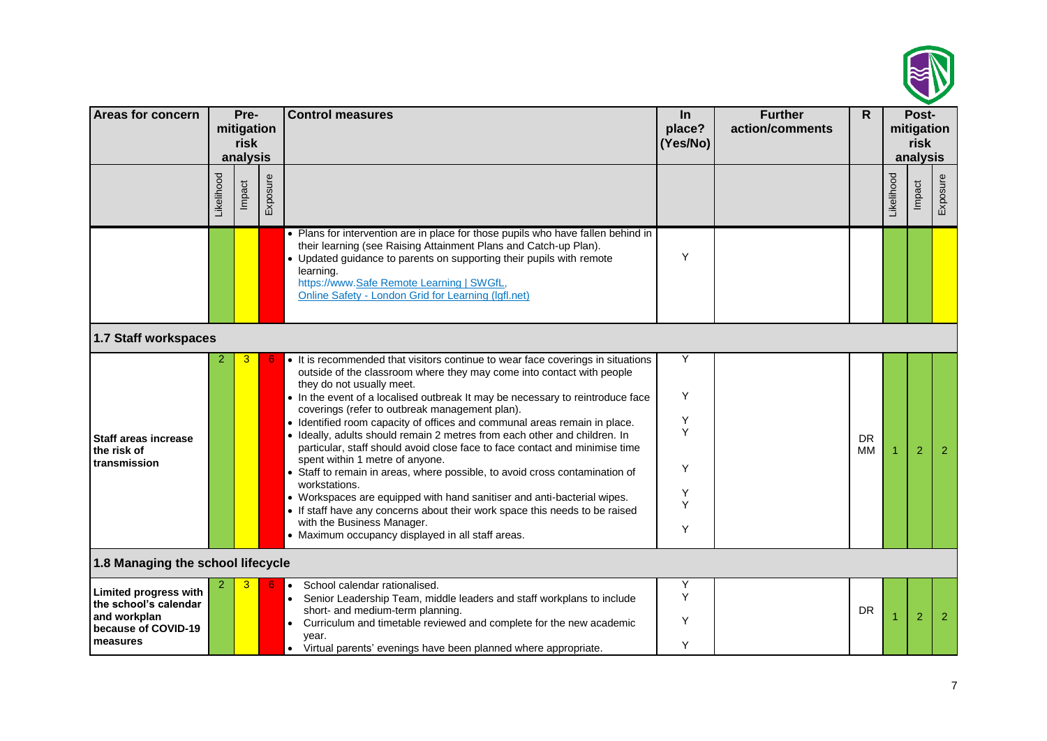

| <b>Areas for concern</b>                                                                                 |           | Pre-<br>mitigation<br>risk<br>analysis |          | <b>Control measures</b>                                                                                                                                                                                                                                                                                                                                                                                                                                                                                                                                                                                                                                                                                                                                                                                                                                                                                                                            | In<br>place?<br>(Yes/No)             | <b>Further</b><br>action/comments | $\mathsf{R}$    |            | Post-<br>mitigation<br>risk<br>analysis |          |
|----------------------------------------------------------------------------------------------------------|-----------|----------------------------------------|----------|----------------------------------------------------------------------------------------------------------------------------------------------------------------------------------------------------------------------------------------------------------------------------------------------------------------------------------------------------------------------------------------------------------------------------------------------------------------------------------------------------------------------------------------------------------------------------------------------------------------------------------------------------------------------------------------------------------------------------------------------------------------------------------------------------------------------------------------------------------------------------------------------------------------------------------------------------|--------------------------------------|-----------------------------------|-----------------|------------|-----------------------------------------|----------|
|                                                                                                          | ikelihood | Impact                                 | Exposure |                                                                                                                                                                                                                                                                                                                                                                                                                                                                                                                                                                                                                                                                                                                                                                                                                                                                                                                                                    |                                      |                                   |                 | _ikelihood | Impact                                  | Exposure |
|                                                                                                          |           |                                        |          | • Plans for intervention are in place for those pupils who have fallen behind in<br>their learning (see Raising Attainment Plans and Catch-up Plan).<br>• Updated guidance to parents on supporting their pupils with remote<br>learning.<br>https://www.Safe Remote Learning   SWGfL,<br>Online Safety - London Grid for Learning (Igfl.net)                                                                                                                                                                                                                                                                                                                                                                                                                                                                                                                                                                                                      | Y                                    |                                   |                 |            |                                         |          |
| 1.7 Staff workspaces                                                                                     |           |                                        |          |                                                                                                                                                                                                                                                                                                                                                                                                                                                                                                                                                                                                                                                                                                                                                                                                                                                                                                                                                    |                                      |                                   |                 |            |                                         |          |
| <b>Staff areas increase</b><br>the risk of<br>transmission                                               |           | 3                                      |          | • It is recommended that visitors continue to wear face coverings in situations<br>outside of the classroom where they may come into contact with people<br>they do not usually meet.<br>• In the event of a localised outbreak It may be necessary to reintroduce face<br>coverings (refer to outbreak management plan).<br>• Identified room capacity of offices and communal areas remain in place.<br>· Ideally, adults should remain 2 metres from each other and children. In<br>particular, staff should avoid close face to face contact and minimise time<br>spent within 1 metre of anyone.<br>• Staff to remain in areas, where possible, to avoid cross contamination of<br>workstations.<br>• Workspaces are equipped with hand sanitiser and anti-bacterial wipes.<br>• If staff have any concerns about their work space this needs to be raised<br>with the Business Manager.<br>• Maximum occupancy displayed in all staff areas. | Y<br>Υ<br>Υ<br>Y<br>Y<br>Υ<br>Υ<br>Υ |                                   | <b>DR</b><br>MМ |            | 2                                       | 2        |
| 1.8 Managing the school lifecycle                                                                        |           |                                        |          |                                                                                                                                                                                                                                                                                                                                                                                                                                                                                                                                                                                                                                                                                                                                                                                                                                                                                                                                                    |                                      |                                   |                 |            |                                         |          |
| <b>Limited progress with</b><br>the school's calendar<br>and workplan<br>because of COVID-19<br>measures |           |                                        |          | School calendar rationalised.<br>$\bullet$<br>Senior Leadership Team, middle leaders and staff workplans to include<br>short- and medium-term planning.<br>Curriculum and timetable reviewed and complete for the new academic<br>$\bullet$<br>year.<br>Virtual parents' evenings have been planned where appropriate.<br>$\bullet$                                                                                                                                                                                                                                                                                                                                                                                                                                                                                                                                                                                                                | Υ<br>Υ<br>Y<br>Y                     |                                   | <b>DR</b>       |            | $\overline{2}$                          | 2        |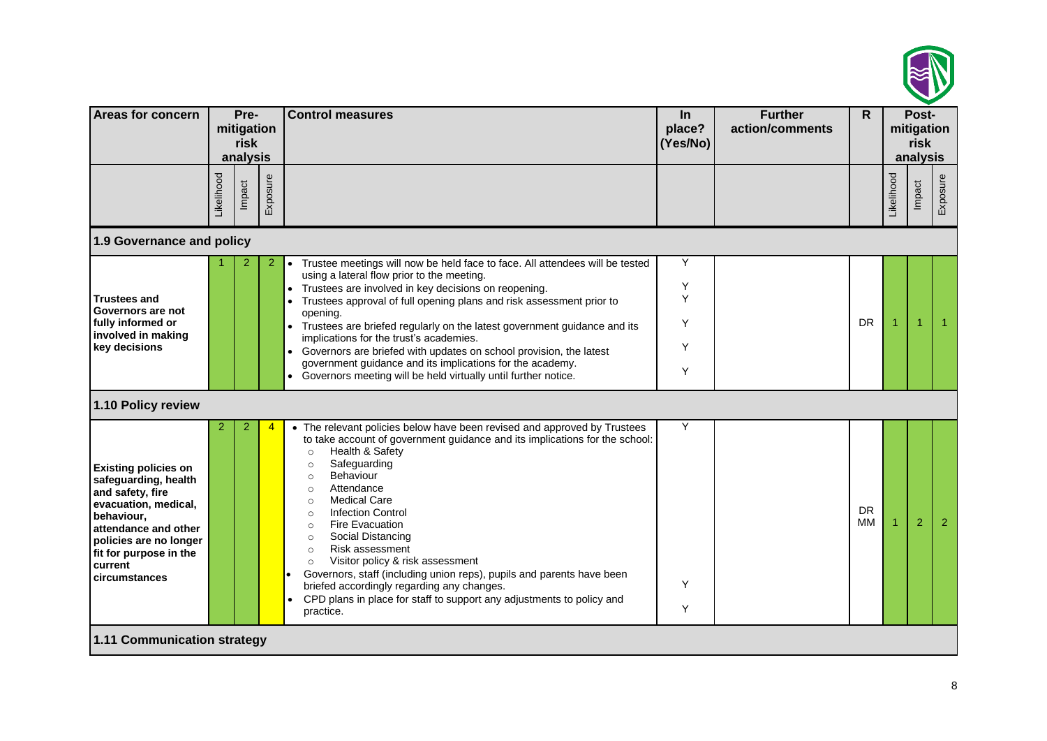

| <b>Areas for concern</b>                                                                                                                                                                                              |            | Pre-<br>mitigation<br>risk<br>analysis |          | <b>Control measures</b>                                                                                                                                                                                                                                                                                                                                                                                                                                                                                                                                                                                                                                                                                                       | In<br>place?<br>(Yes/No)   | <b>Further</b><br>action/comments | $\mathsf{R}$    |            | Post-<br>mitigation<br>risk<br>analysis |          |  |
|-----------------------------------------------------------------------------------------------------------------------------------------------------------------------------------------------------------------------|------------|----------------------------------------|----------|-------------------------------------------------------------------------------------------------------------------------------------------------------------------------------------------------------------------------------------------------------------------------------------------------------------------------------------------------------------------------------------------------------------------------------------------------------------------------------------------------------------------------------------------------------------------------------------------------------------------------------------------------------------------------------------------------------------------------------|----------------------------|-----------------------------------|-----------------|------------|-----------------------------------------|----------|--|
|                                                                                                                                                                                                                       | Likelihood | Impact                                 | Exposure |                                                                                                                                                                                                                                                                                                                                                                                                                                                                                                                                                                                                                                                                                                                               |                            |                                   |                 | Likelihood | Impact                                  | Exposure |  |
| 1.9 Governance and policy                                                                                                                                                                                             |            |                                        |          |                                                                                                                                                                                                                                                                                                                                                                                                                                                                                                                                                                                                                                                                                                                               |                            |                                   |                 |            |                                         |          |  |
| <b>Trustees and</b><br>Governors are not<br>fully informed or<br>involved in making<br>key decisions                                                                                                                  |            |                                        | 2        | Trustee meetings will now be held face to face. All attendees will be tested<br>$\bullet$<br>using a lateral flow prior to the meeting.<br>Trustees are involved in key decisions on reopening.<br>Trustees approval of full opening plans and risk assessment prior to<br>opening.<br>Trustees are briefed regularly on the latest government guidance and its<br>implications for the trust's academies.<br>Governors are briefed with updates on school provision, the latest<br>government guidance and its implications for the academy.<br>Governors meeting will be held virtually until further notice.                                                                                                               | Y<br>Υ<br>Y<br>Υ<br>Y<br>Υ |                                   | <b>DR</b>       | 1          |                                         |          |  |
| 1.10 Policy review                                                                                                                                                                                                    |            |                                        |          |                                                                                                                                                                                                                                                                                                                                                                                                                                                                                                                                                                                                                                                                                                                               |                            |                                   |                 |            |                                         |          |  |
| <b>Existing policies on</b><br>safeguarding, health<br>and safety, fire<br>evacuation, medical,<br>behaviour,<br>attendance and other<br>policies are no longer<br>fit for purpose in the<br>current<br>circumstances | 2          | 2                                      |          | • The relevant policies below have been revised and approved by Trustees<br>to take account of government guidance and its implications for the school:<br>Health & Safety<br>$\circ$<br>Safeguarding<br>$\circ$<br>Behaviour<br>$\circ$<br>Attendance<br>$\circ$<br><b>Medical Care</b><br>$\circ$<br><b>Infection Control</b><br>$\circ$<br><b>Fire Evacuation</b><br>$\circ$<br>Social Distancing<br>$\circ$<br><b>Risk assessment</b><br>$\circ$<br>Visitor policy & risk assessment<br>$\circ$<br>Governors, staff (including union reps), pupils and parents have been<br>briefed accordingly regarding any changes.<br>CPD plans in place for staff to support any adjustments to policy and<br>$\bullet$<br>practice. | Y<br>Y<br>Υ                |                                   | <b>DR</b><br>MМ | 1          | 2                                       | -2       |  |
| 1.11 Communication strategy                                                                                                                                                                                           |            |                                        |          |                                                                                                                                                                                                                                                                                                                                                                                                                                                                                                                                                                                                                                                                                                                               |                            |                                   |                 |            |                                         |          |  |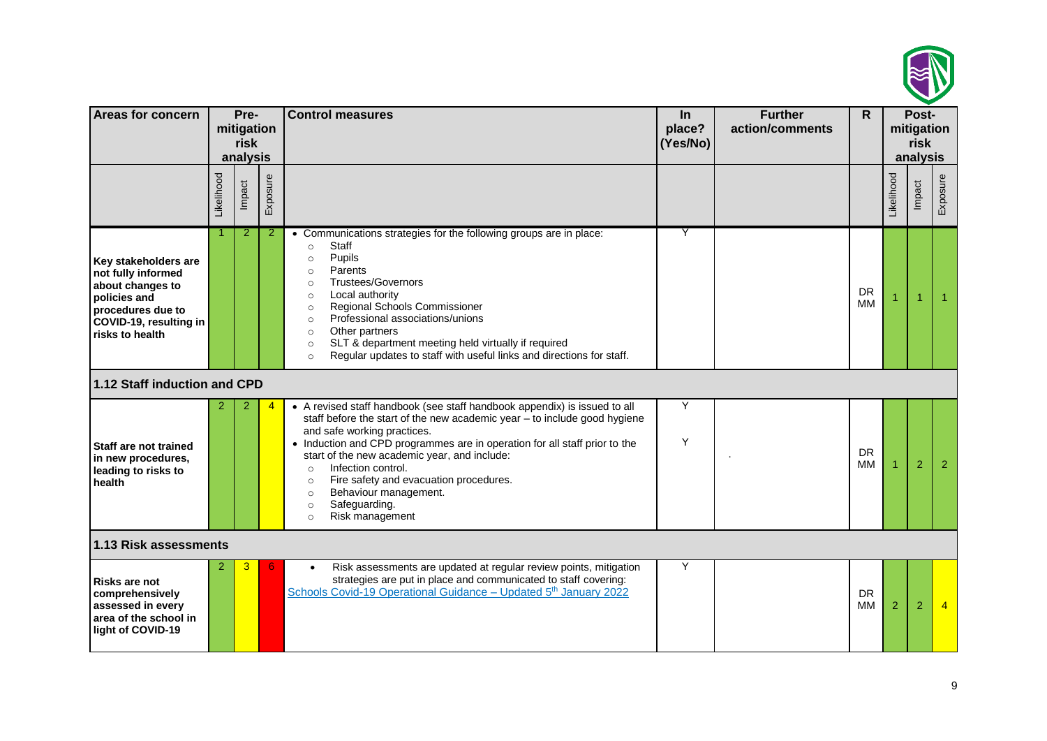

| Areas for concern                                                                                                                                |            | Pre-<br>mitigation<br>risk<br>analysis |          | <b>Control measures</b>                                                                                                                                                                                                                                                                                                                                                                                                                                                                                 | $\ln$<br>place?<br>(Yes/No) | <b>Further</b><br>action/comments | $\mathsf{R}$    |            | Post-<br>mitigation<br>risk<br>analysis |          |
|--------------------------------------------------------------------------------------------------------------------------------------------------|------------|----------------------------------------|----------|---------------------------------------------------------------------------------------------------------------------------------------------------------------------------------------------------------------------------------------------------------------------------------------------------------------------------------------------------------------------------------------------------------------------------------------------------------------------------------------------------------|-----------------------------|-----------------------------------|-----------------|------------|-----------------------------------------|----------|
|                                                                                                                                                  | Likelihood | Impact                                 | Exposure |                                                                                                                                                                                                                                                                                                                                                                                                                                                                                                         |                             |                                   |                 | Likelihood | Impact                                  | Exposure |
| Key stakeholders are<br>not fully informed<br>about changes to<br>policies and<br>procedures due to<br>COVID-19, resulting in<br>risks to health |            | 2                                      | 2        | • Communications strategies for the following groups are in place:<br>Staff<br>$\circ$<br>Pupils<br>$\circ$<br>Parents<br>$\circ$<br><b>Trustees/Governors</b><br>$\circ$<br>Local authority<br>$\circ$<br>Regional Schools Commissioner<br>$\circ$<br>Professional associations/unions<br>$\circ$<br>Other partners<br>$\circ$<br>SLT & department meeting held virtually if required<br>$\circ$<br>Regular updates to staff with useful links and directions for staff.<br>$\circ$                    | Υ                           |                                   | <b>DR</b><br>MМ |            |                                         |          |
| 1.12 Staff induction and CPD                                                                                                                     |            |                                        |          |                                                                                                                                                                                                                                                                                                                                                                                                                                                                                                         |                             |                                   |                 |            |                                         |          |
| Staff are not trained<br>in new procedures,<br>leading to risks to<br>health                                                                     |            |                                        |          | • A revised staff handbook (see staff handbook appendix) is issued to all<br>staff before the start of the new academic year - to include good hygiene<br>and safe working practices.<br>• Induction and CPD programmes are in operation for all staff prior to the<br>start of the new academic year, and include:<br>Infection control.<br>$\circ$<br>Fire safety and evacuation procedures.<br>$\circ$<br>Behaviour management.<br>$\circ$<br>Safeguarding.<br>$\circ$<br>Risk management<br>$\circ$ | Y<br>Y                      |                                   | <b>DR</b><br>MМ |            | $\overline{2}$                          | 2        |
| 1.13 Risk assessments                                                                                                                            |            |                                        |          |                                                                                                                                                                                                                                                                                                                                                                                                                                                                                                         |                             |                                   |                 |            |                                         |          |
| <b>Risks are not</b><br>comprehensively<br>assessed in every<br>area of the school in<br>light of COVID-19                                       | 2          | 3                                      |          | Risk assessments are updated at regular review points, mitigation<br>strategies are put in place and communicated to staff covering:<br>Schools Covid-19 Operational Guidance - Updated 5 <sup>th</sup> January 2022                                                                                                                                                                                                                                                                                    | Y                           |                                   | <b>DR</b><br>ΜМ | 2          | 2                                       |          |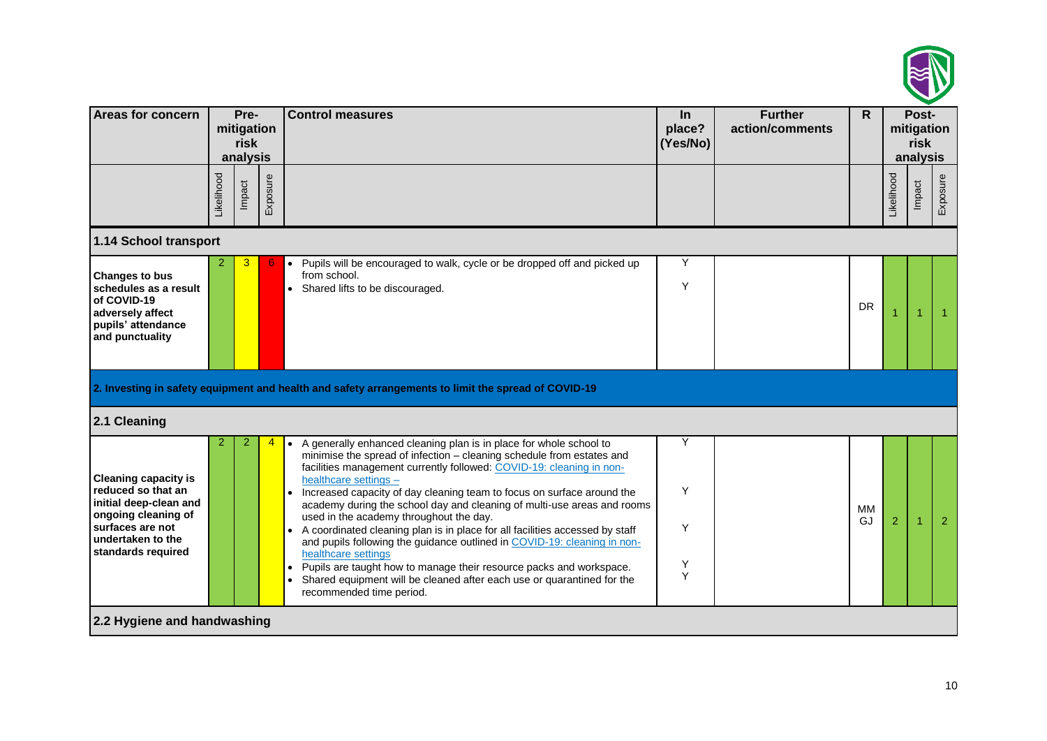

| <b>Areas for concern</b>                                                                                                                                          |                | Pre-<br>mitigation<br>risk<br>analysis |          | <b>Control measures</b>                                                                                                                                                                                                                                                                                                                                                                                                                                                                                                                                                                                                                                                                                                                                                                                                                  | <b>Further</b><br>In<br>place?<br>action/comments<br>(Yes/No) |  | $\mathsf{R}$    |                | Post-<br>mitigation<br>risk<br>analysis |          |
|-------------------------------------------------------------------------------------------------------------------------------------------------------------------|----------------|----------------------------------------|----------|------------------------------------------------------------------------------------------------------------------------------------------------------------------------------------------------------------------------------------------------------------------------------------------------------------------------------------------------------------------------------------------------------------------------------------------------------------------------------------------------------------------------------------------------------------------------------------------------------------------------------------------------------------------------------------------------------------------------------------------------------------------------------------------------------------------------------------------|---------------------------------------------------------------|--|-----------------|----------------|-----------------------------------------|----------|
|                                                                                                                                                                   | Likelihood     | Impact                                 | Exposure |                                                                                                                                                                                                                                                                                                                                                                                                                                                                                                                                                                                                                                                                                                                                                                                                                                          |                                                               |  |                 | Likelihood     | Impact                                  | Exposure |
| 1.14 School transport                                                                                                                                             |                |                                        |          |                                                                                                                                                                                                                                                                                                                                                                                                                                                                                                                                                                                                                                                                                                                                                                                                                                          |                                                               |  |                 |                |                                         |          |
| <b>Changes to bus</b><br>schedules as a result<br>of COVID-19<br>adversely affect<br>pupils' attendance<br>and punctuality                                        | $\overline{2}$ | 3                                      |          | Pupils will be encouraged to walk, cycle or be dropped off and picked up<br>$\bullet$<br>from school.<br>• Shared lifts to be discouraged.                                                                                                                                                                                                                                                                                                                                                                                                                                                                                                                                                                                                                                                                                               | Υ<br>Y                                                        |  | <b>DR</b>       |                |                                         |          |
| 2.1 Cleaning                                                                                                                                                      |                |                                        |          | 2. Investing in safety equipment and health and safety arrangements to limit the spread of COVID-19                                                                                                                                                                                                                                                                                                                                                                                                                                                                                                                                                                                                                                                                                                                                      |                                                               |  |                 |                |                                         |          |
| <b>Cleaning capacity is</b><br>reduced so that an<br>initial deep-clean and<br>ongoing cleaning of<br>surfaces are not<br>undertaken to the<br>standards required | 2              |                                        |          | A generally enhanced cleaning plan is in place for whole school to<br>$\bullet$<br>minimise the spread of infection - cleaning schedule from estates and<br>facilities management currently followed: COVID-19: cleaning in non-<br>healthcare settings -<br>Increased capacity of day cleaning team to focus on surface around the<br>academy during the school day and cleaning of multi-use areas and rooms<br>used in the academy throughout the day.<br>• A coordinated cleaning plan is in place for all facilities accessed by staff<br>and pupils following the guidance outlined in COVID-19: cleaning in non-<br>healthcare settings<br>Pupils are taught how to manage their resource packs and workspace.<br>$\bullet$<br>Shared equipment will be cleaned after each use or quarantined for the<br>recommended time period. | Y<br>Υ<br>Y<br>Υ<br>Y                                         |  | <b>MM</b><br>GJ | $\overline{2}$ |                                         | 2        |
| 2.2 Hygiene and handwashing                                                                                                                                       |                |                                        |          |                                                                                                                                                                                                                                                                                                                                                                                                                                                                                                                                                                                                                                                                                                                                                                                                                                          |                                                               |  |                 |                |                                         |          |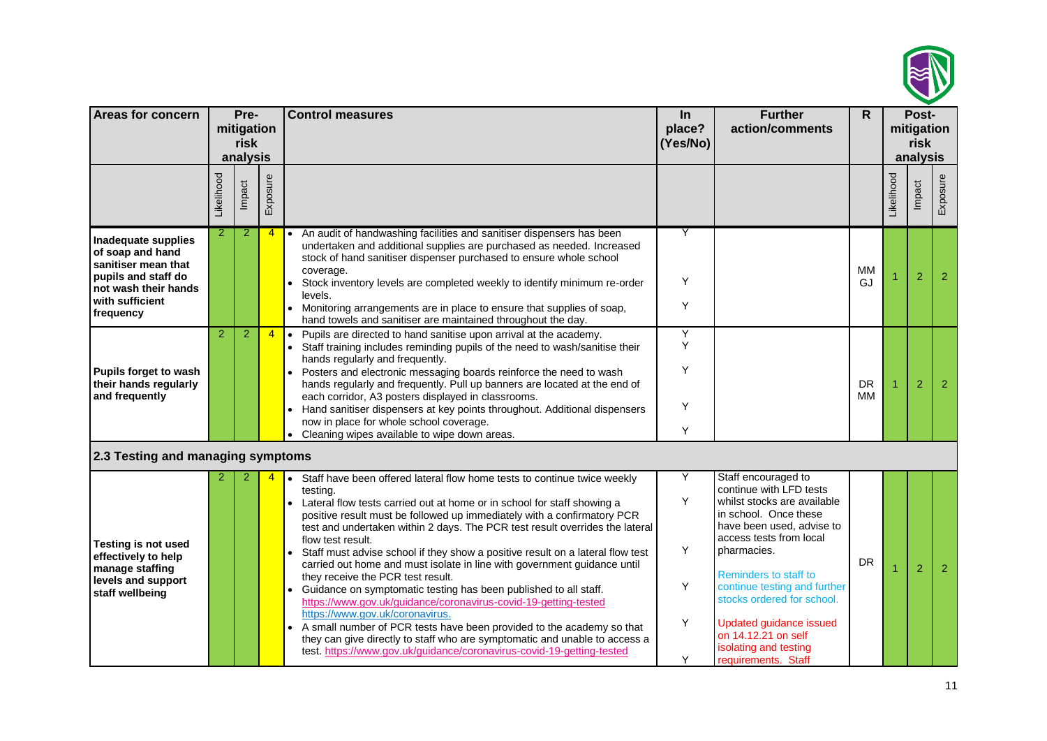

| <b>Areas for concern</b>                                                                                                                      |                | Pre-<br>mitigation<br>risk<br>analysis |                | <b>Control measures</b>                                                                                                                                                                                                                                                                                                                                                                                                                                                                                                                                                                                                                                                                                                                                                                                                                                                                                                                                                   | $\ln$<br>place?<br>(Yes/No) | <b>Further</b><br>action/comments                                                                                                                                                                                                                                                                                                                                             | $\mathsf{R}$    |            | Post-<br>mitigation<br>risk<br>analysis |                |
|-----------------------------------------------------------------------------------------------------------------------------------------------|----------------|----------------------------------------|----------------|---------------------------------------------------------------------------------------------------------------------------------------------------------------------------------------------------------------------------------------------------------------------------------------------------------------------------------------------------------------------------------------------------------------------------------------------------------------------------------------------------------------------------------------------------------------------------------------------------------------------------------------------------------------------------------------------------------------------------------------------------------------------------------------------------------------------------------------------------------------------------------------------------------------------------------------------------------------------------|-----------------------------|-------------------------------------------------------------------------------------------------------------------------------------------------------------------------------------------------------------------------------------------------------------------------------------------------------------------------------------------------------------------------------|-----------------|------------|-----------------------------------------|----------------|
|                                                                                                                                               | Likelihood     | Impact                                 | Exposure       |                                                                                                                                                                                                                                                                                                                                                                                                                                                                                                                                                                                                                                                                                                                                                                                                                                                                                                                                                                           |                             |                                                                                                                                                                                                                                                                                                                                                                               |                 | _ikelihood | Impact                                  | Exposure       |
| Inadequate supplies<br>of soap and hand<br>sanitiser mean that<br>pupils and staff do<br>not wash their hands<br>with sufficient<br>frequency | $\overline{2}$ | 2                                      | 4              | • An audit of handwashing facilities and sanitiser dispensers has been<br>undertaken and additional supplies are purchased as needed. Increased<br>stock of hand sanitiser dispenser purchased to ensure whole school<br>coverage.<br>Stock inventory levels are completed weekly to identify minimum re-order<br>levels.<br>Monitoring arrangements are in place to ensure that supplies of soap,<br>$\bullet$<br>hand towels and sanitiser are maintained throughout the day.                                                                                                                                                                                                                                                                                                                                                                                                                                                                                           | Υ<br>Y<br>Y                 |                                                                                                                                                                                                                                                                                                                                                                               | <b>MM</b><br>GJ |            | $\overline{2}$                          | $\overline{2}$ |
| Pupils forget to wash<br>their hands regularly<br>and frequently                                                                              | $\overline{2}$ | 2                                      | $\overline{4}$ | Pupils are directed to hand sanitise upon arrival at the academy.<br>$\bullet$<br>Staff training includes reminding pupils of the need to wash/sanitise their<br>hands regularly and frequently.<br>Posters and electronic messaging boards reinforce the need to wash<br>hands regularly and frequently. Pull up banners are located at the end of<br>each corridor, A3 posters displayed in classrooms.<br>Hand sanitiser dispensers at key points throughout. Additional dispensers<br>$\bullet$<br>now in place for whole school coverage.<br>Cleaning wipes available to wipe down areas.                                                                                                                                                                                                                                                                                                                                                                            | Υ<br>Y<br>Y<br>Υ<br>Y       |                                                                                                                                                                                                                                                                                                                                                                               | <b>DR</b><br>MМ |            | $\overline{2}$                          | 2              |
| 2.3 Testing and managing symptoms                                                                                                             |                |                                        |                |                                                                                                                                                                                                                                                                                                                                                                                                                                                                                                                                                                                                                                                                                                                                                                                                                                                                                                                                                                           |                             |                                                                                                                                                                                                                                                                                                                                                                               |                 |            |                                         |                |
| <b>Testing is not used</b><br>effectively to help<br>manage staffing<br>levels and support<br>staff wellbeing                                 |                | 2                                      |                | Staff have been offered lateral flow home tests to continue twice weekly<br>testing.<br>Lateral flow tests carried out at home or in school for staff showing a<br>positive result must be followed up immediately with a confirmatory PCR<br>test and undertaken within 2 days. The PCR test result overrides the lateral<br>flow test result.<br>Staff must advise school if they show a positive result on a lateral flow test<br>carried out home and must isolate in line with government guidance until<br>they receive the PCR test result.<br>Guidance on symptomatic testing has been published to all staff.<br>https://www.gov.uk/guidance/coronavirus-covid-19-getting-tested<br>https://www.gov.uk/coronavirus.<br>A small number of PCR tests have been provided to the academy so that<br>$\bullet$<br>they can give directly to staff who are symptomatic and unable to access a<br>test. https://www.gov.uk/guidance/coronavirus-covid-19-getting-tested | Υ<br>Y<br>Y<br>Υ<br>Y<br>Y  | Staff encouraged to<br>continue with LFD tests<br>whilst stocks are available<br>in school. Once these<br>have been used, advise to<br>access tests from local<br>pharmacies.<br>Reminders to staff to<br>continue testing and further<br>stocks ordered for school.<br><b>Updated guidance issued</b><br>on 14.12.21 on self<br>isolating and testing<br>requirements. Staff | <b>DR</b>       |            | $\overline{2}$                          | $\overline{2}$ |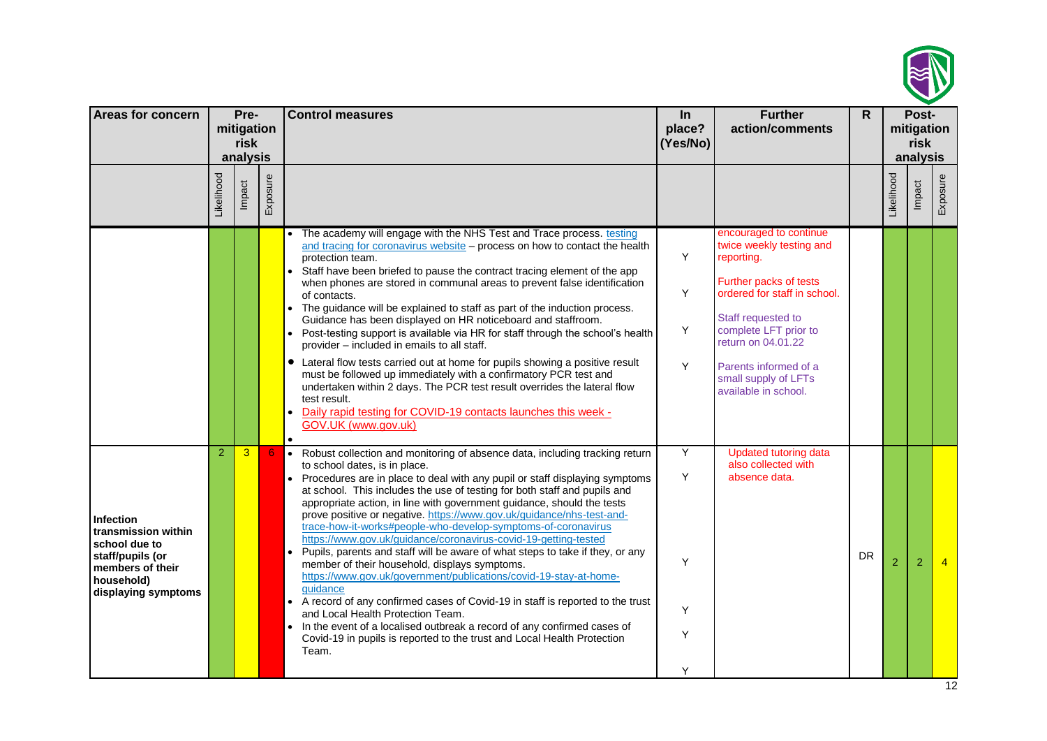

| <b>Areas for concern</b>                                                                                                       |                | Pre-<br>mitigation |          | <b>Control measures</b>                                                                                                                                                                                                                                                                                                                                                                                                                                                                                                                                                                                                                                                                                                                                                                                                                                                                                                                                                                                                                                                                                                                                                                                                                                                  | In<br>place?               | <b>Further</b><br>action/comments                                    | R. |                | Post-<br>mitigation |                |
|--------------------------------------------------------------------------------------------------------------------------------|----------------|--------------------|----------|--------------------------------------------------------------------------------------------------------------------------------------------------------------------------------------------------------------------------------------------------------------------------------------------------------------------------------------------------------------------------------------------------------------------------------------------------------------------------------------------------------------------------------------------------------------------------------------------------------------------------------------------------------------------------------------------------------------------------------------------------------------------------------------------------------------------------------------------------------------------------------------------------------------------------------------------------------------------------------------------------------------------------------------------------------------------------------------------------------------------------------------------------------------------------------------------------------------------------------------------------------------------------|----------------------------|----------------------------------------------------------------------|----|----------------|---------------------|----------------|
|                                                                                                                                |                | risk<br>analysis   |          |                                                                                                                                                                                                                                                                                                                                                                                                                                                                                                                                                                                                                                                                                                                                                                                                                                                                                                                                                                                                                                                                                                                                                                                                                                                                          | (Yes/No)                   |                                                                      |    |                | risk<br>analysis    |                |
|                                                                                                                                | Likelihood     | Impact             | Exposure |                                                                                                                                                                                                                                                                                                                                                                                                                                                                                                                                                                                                                                                                                                                                                                                                                                                                                                                                                                                                                                                                                                                                                                                                                                                                          |                            |                                                                      |    | Likelihood     | Impact              | Exposure       |
|                                                                                                                                |                |                    |          | The academy will engage with the NHS Test and Trace process. testing<br>encouraged to continue<br>twice weekly testing and<br>and tracing for coronavirus website - process on how to contact the health<br>Υ<br>reporting.<br>protection team.<br>Staff have been briefed to pause the contract tracing element of the app<br>Further packs of tests<br>when phones are stored in communal areas to prevent false identification<br>Y<br>ordered for staff in school.<br>of contacts.<br>• The guidance will be explained to staff as part of the induction process.<br>Staff requested to<br>Guidance has been displayed on HR noticeboard and staffroom.<br>Y<br>complete LFT prior to<br>Post-testing support is available via HR for staff through the school's health<br>return on 04.01.22<br>provider - included in emails to all staff.<br>• Lateral flow tests carried out at home for pupils showing a positive result<br>Y<br>Parents informed of a<br>must be followed up immediately with a confirmatory PCR test and<br>small supply of LFTs<br>undertaken within 2 days. The PCR test result overrides the lateral flow<br>available in school.<br>test result.<br>Daily rapid testing for COVID-19 contacts launches this week -<br>GOV.UK (www.gov.uk) |                            |                                                                      |    |                |                     |                |
| Infection<br>transmission within<br>school due to<br>staff/pupils (or<br>members of their<br>household)<br>displaying symptoms | $\overline{2}$ | $\overline{3}$     | 6        | Robust collection and monitoring of absence data, including tracking return<br>$\bullet$<br>to school dates, is in place.<br>Procedures are in place to deal with any pupil or staff displaying symptoms<br>$\bullet$<br>at school. This includes the use of testing for both staff and pupils and<br>appropriate action, in line with government guidance, should the tests<br>prove positive or negative. https://www.gov.uk/guidance/nhs-test-and-<br>trace-how-it-works#people-who-develop-symptoms-of-coronavirus<br>https://www.gov.uk/guidance/coronavirus-covid-19-getting-tested<br>Pupils, parents and staff will be aware of what steps to take if they, or any<br>$\bullet$<br>member of their household, displays symptoms.<br>https://www.gov.uk/government/publications/covid-19-stay-at-home-<br>guidance<br>A record of any confirmed cases of Covid-19 in staff is reported to the trust<br>$\bullet$<br>and Local Health Protection Team.<br>In the event of a localised outbreak a record of any confirmed cases of<br>Covid-19 in pupils is reported to the trust and Local Health Protection<br>Team.                                                                                                                                              | Υ<br>Y<br>Υ<br>Υ<br>Y<br>Y | <b>Updated tutoring data</b><br>also collected with<br>absence data. | DR | $\overline{2}$ | 2                   | $\overline{4}$ |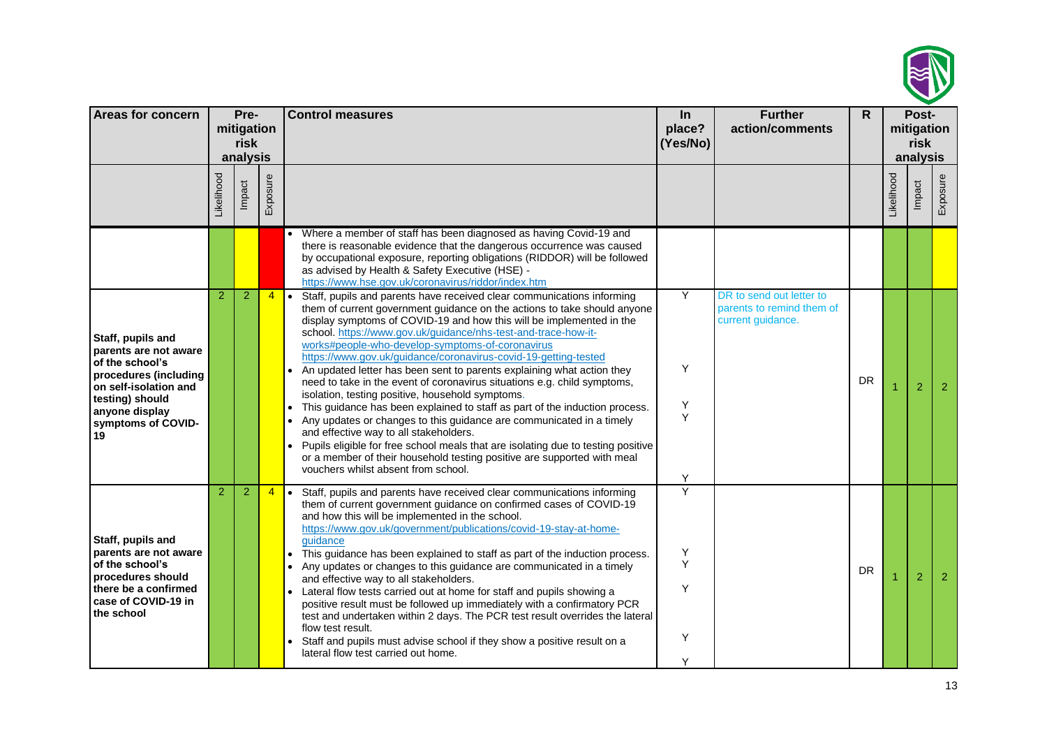

| <b>Areas for concern</b>                                                                                                                                                         |                   | Pre-                           |                | <b>Control measures</b>                                                                                                                                                                                                                                                                                                                                                                                                                                                                                                                                                                                                                                                                                                                                                                                                                                                                                                                                                                                                                                                     | In                                 | <b>Further</b>                                                             | $\mathsf{R}$ |            | Post-                          |                |
|----------------------------------------------------------------------------------------------------------------------------------------------------------------------------------|-------------------|--------------------------------|----------------|-----------------------------------------------------------------------------------------------------------------------------------------------------------------------------------------------------------------------------------------------------------------------------------------------------------------------------------------------------------------------------------------------------------------------------------------------------------------------------------------------------------------------------------------------------------------------------------------------------------------------------------------------------------------------------------------------------------------------------------------------------------------------------------------------------------------------------------------------------------------------------------------------------------------------------------------------------------------------------------------------------------------------------------------------------------------------------|------------------------------------|----------------------------------------------------------------------------|--------------|------------|--------------------------------|----------------|
|                                                                                                                                                                                  |                   | mitigation<br>risk<br>analysis |                |                                                                                                                                                                                                                                                                                                                                                                                                                                                                                                                                                                                                                                                                                                                                                                                                                                                                                                                                                                                                                                                                             | place?<br>(Yes/No)                 | action/comments                                                            |              |            | mitigation<br>risk<br>analysis |                |
|                                                                                                                                                                                  | <b>Likelihood</b> | Impact                         | Exposure       |                                                                                                                                                                                                                                                                                                                                                                                                                                                                                                                                                                                                                                                                                                                                                                                                                                                                                                                                                                                                                                                                             |                                    |                                                                            |              | _ikelihood | Impact                         | Exposure       |
|                                                                                                                                                                                  |                   |                                |                | Where a member of staff has been diagnosed as having Covid-19 and<br>there is reasonable evidence that the dangerous occurrence was caused<br>by occupational exposure, reporting obligations (RIDDOR) will be followed<br>as advised by Health & Safety Executive (HSE) -<br>https://www.hse.gov.uk/coronavirus/riddor/index.htm                                                                                                                                                                                                                                                                                                                                                                                                                                                                                                                                                                                                                                                                                                                                           |                                    |                                                                            |              |            |                                |                |
| Staff, pupils and<br>parents are not aware<br>of the school's<br>procedures (including<br>on self-isolation and<br>testing) should<br>anyone display<br>symptoms of COVID-<br>19 | $\overline{2}$    | $\overline{2}$                 | $\overline{4}$ | Staff, pupils and parents have received clear communications informing<br>$\bullet$<br>them of current government guidance on the actions to take should anyone<br>display symptoms of COVID-19 and how this will be implemented in the<br>school. https://www.gov.uk/guidance/nhs-test-and-trace-how-it-<br>works#people-who-develop-symptoms-of-coronavirus<br>https://www.gov.uk/guidance/coronavirus-covid-19-getting-tested<br>An updated letter has been sent to parents explaining what action they<br>$\bullet$<br>need to take in the event of coronavirus situations e.g. child symptoms,<br>isolation, testing positive, household symptoms.<br>This guidance has been explained to staff as part of the induction process.<br>Any updates or changes to this guidance are communicated in a timely<br>and effective way to all stakeholders.<br>Pupils eligible for free school meals that are isolating due to testing positive<br>$\bullet$<br>or a member of their household testing positive are supported with meal<br>vouchers whilst absent from school. | $\overline{Y}$<br>Y<br>Υ<br>Y<br>Υ | DR to send out letter to<br>parents to remind them of<br>current guidance. | DR           |            | $\overline{2}$                 | $\overline{2}$ |
| Staff, pupils and<br>parents are not aware<br>of the school's<br>procedures should<br>there be a confirmed<br>case of COVID-19 in<br>the school                                  | $\overline{2}$    | $\overline{2}$                 | $\overline{4}$ | Staff, pupils and parents have received clear communications informing<br>$\bullet$<br>them of current government guidance on confirmed cases of COVID-19<br>and how this will be implemented in the school.<br>https://www.gov.uk/government/publications/covid-19-stay-at-home-<br>quidance<br>This guidance has been explained to staff as part of the induction process.<br>Any updates or changes to this guidance are communicated in a timely<br>and effective way to all stakeholders.<br>Lateral flow tests carried out at home for staff and pupils showing a<br>$\bullet$<br>positive result must be followed up immediately with a confirmatory PCR<br>test and undertaken within 2 days. The PCR test result overrides the lateral<br>flow test result.<br>Staff and pupils must advise school if they show a positive result on a<br>lateral flow test carried out home.                                                                                                                                                                                      | Ÿ<br>Υ<br>Y<br>Y<br>Υ<br>Y         |                                                                            | <b>DR</b>    |            | $\overline{2}$                 | 2              |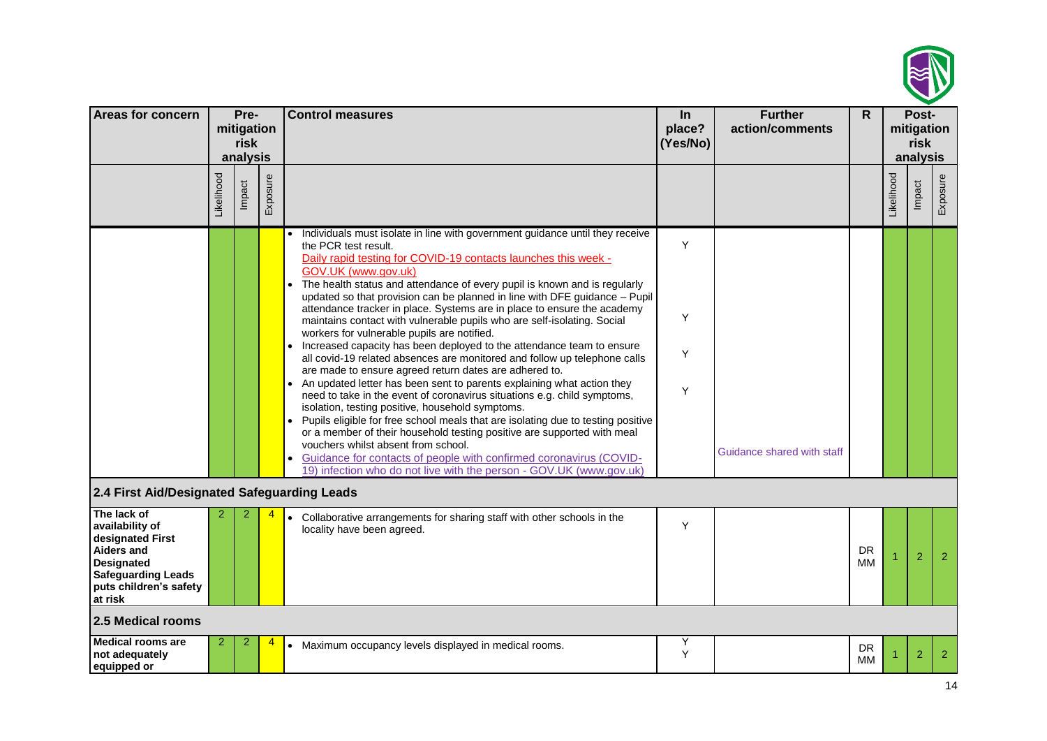

| <b>Areas for concern</b>                                                                                                                                       |            | Pre-                           |          | <b>Control measures</b>                                                                                                                                                                                                                                                                                                                                                                                                                                                                                                                                                                                                                                                                                                                                                                                                                                                                                                                                                                                                                                                                                                                                                                                                                                                                                                                    | In                 | <b>Further</b>             | $\mathsf{R}$    |            | Post-              |                |
|----------------------------------------------------------------------------------------------------------------------------------------------------------------|------------|--------------------------------|----------|--------------------------------------------------------------------------------------------------------------------------------------------------------------------------------------------------------------------------------------------------------------------------------------------------------------------------------------------------------------------------------------------------------------------------------------------------------------------------------------------------------------------------------------------------------------------------------------------------------------------------------------------------------------------------------------------------------------------------------------------------------------------------------------------------------------------------------------------------------------------------------------------------------------------------------------------------------------------------------------------------------------------------------------------------------------------------------------------------------------------------------------------------------------------------------------------------------------------------------------------------------------------------------------------------------------------------------------------|--------------------|----------------------------|-----------------|------------|--------------------|----------------|
|                                                                                                                                                                |            | mitigation<br>risk<br>analysis |          |                                                                                                                                                                                                                                                                                                                                                                                                                                                                                                                                                                                                                                                                                                                                                                                                                                                                                                                                                                                                                                                                                                                                                                                                                                                                                                                                            | place?<br>(Yes/No) | action/comments            |                 |            | mitigation<br>risk |                |
|                                                                                                                                                                |            |                                |          |                                                                                                                                                                                                                                                                                                                                                                                                                                                                                                                                                                                                                                                                                                                                                                                                                                                                                                                                                                                                                                                                                                                                                                                                                                                                                                                                            |                    |                            |                 |            | analysis           |                |
|                                                                                                                                                                | Likelihood | Impact                         | Exposure |                                                                                                                                                                                                                                                                                                                                                                                                                                                                                                                                                                                                                                                                                                                                                                                                                                                                                                                                                                                                                                                                                                                                                                                                                                                                                                                                            |                    |                            |                 | Likelihood | Impact             | Exposure       |
|                                                                                                                                                                |            |                                |          | Individuals must isolate in line with government guidance until they receive<br>the PCR test result.<br>Daily rapid testing for COVID-19 contacts launches this week -<br>GOV.UK (www.gov.uk)<br>The health status and attendance of every pupil is known and is regularly<br>updated so that provision can be planned in line with DFE guidance - Pupil<br>attendance tracker in place. Systems are in place to ensure the academy<br>maintains contact with vulnerable pupils who are self-isolating. Social<br>workers for vulnerable pupils are notified.<br>Increased capacity has been deployed to the attendance team to ensure<br>all covid-19 related absences are monitored and follow up telephone calls<br>are made to ensure agreed return dates are adhered to.<br>An updated letter has been sent to parents explaining what action they<br>need to take in the event of coronavirus situations e.g. child symptoms,<br>isolation, testing positive, household symptoms.<br>Pupils eligible for free school meals that are isolating due to testing positive<br>or a member of their household testing positive are supported with meal<br>vouchers whilst absent from school.<br>Guidance for contacts of people with confirmed coronavirus (COVID-<br>19) infection who do not live with the person - GOV.UK (www.gov.uk) | Y<br>Υ<br>Y<br>Y   | Guidance shared with staff |                 |            |                    |                |
| 2.4 First Aid/Designated Safeguarding Leads                                                                                                                    |            |                                |          |                                                                                                                                                                                                                                                                                                                                                                                                                                                                                                                                                                                                                                                                                                                                                                                                                                                                                                                                                                                                                                                                                                                                                                                                                                                                                                                                            |                    |                            |                 |            |                    |                |
| The lack of<br>availability of<br>designated First<br><b>Aiders and</b><br><b>Designated</b><br><b>Safeguarding Leads</b><br>puts children's safety<br>at risk |            |                                |          | • Collaborative arrangements for sharing staff with other schools in the<br>locality have been agreed.                                                                                                                                                                                                                                                                                                                                                                                                                                                                                                                                                                                                                                                                                                                                                                                                                                                                                                                                                                                                                                                                                                                                                                                                                                     | Y                  |                            | <b>DR</b><br>ΜМ |            | $\overline{2}$     | 2              |
| 2.5 Medical rooms                                                                                                                                              |            |                                |          |                                                                                                                                                                                                                                                                                                                                                                                                                                                                                                                                                                                                                                                                                                                                                                                                                                                                                                                                                                                                                                                                                                                                                                                                                                                                                                                                            |                    |                            |                 |            |                    |                |
| <b>Medical rooms are</b><br>not adequately<br>equipped or                                                                                                      | 2          | 2                              | 4        | • Maximum occupancy levels displayed in medical rooms.                                                                                                                                                                                                                                                                                                                                                                                                                                                                                                                                                                                                                                                                                                                                                                                                                                                                                                                                                                                                                                                                                                                                                                                                                                                                                     | Υ<br>Y             |                            | DR<br>MM        |            | $\overline{2}$     | $\overline{2}$ |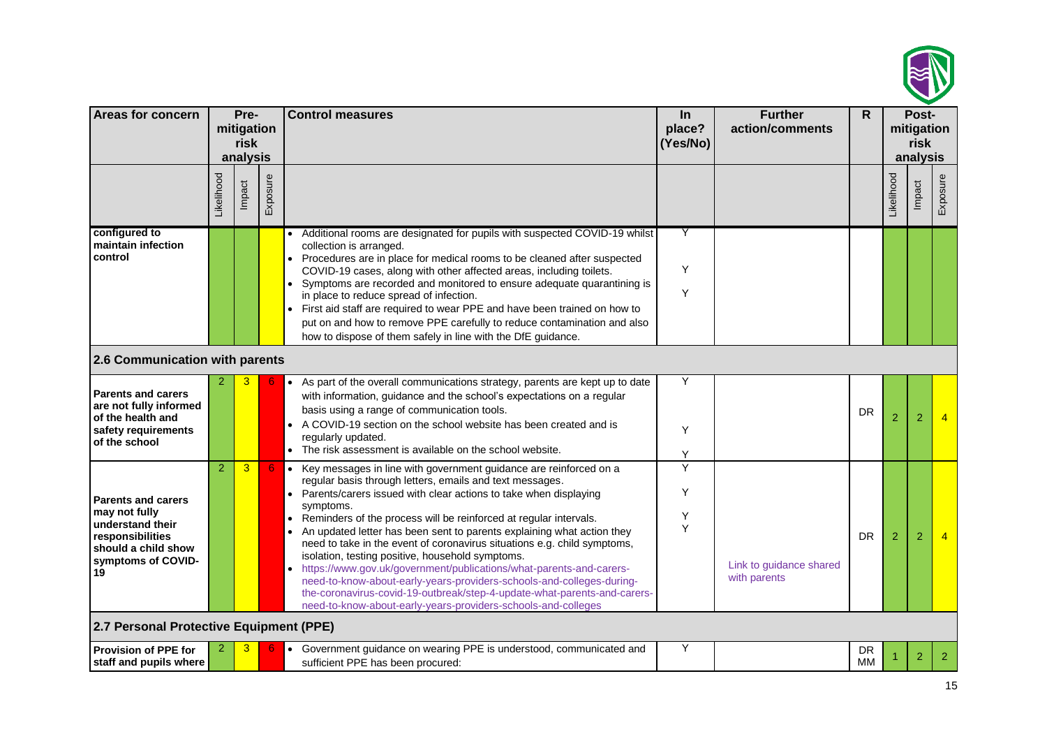

| <b>Areas for concern</b>                                                                                                              |                  | Pre-<br>mitigation<br>risk<br>analysis |          | <b>Control measures</b>                                                                                                                                                                                                                                                                                                                                                                                                                                                                                                                                                                                                                                                                                                                                                                                                | In<br>place?<br>(Yes/No) | <b>Further</b><br>action/comments       | R         |                | Post-<br>mitigation<br>risk<br>analysis |                |
|---------------------------------------------------------------------------------------------------------------------------------------|------------------|----------------------------------------|----------|------------------------------------------------------------------------------------------------------------------------------------------------------------------------------------------------------------------------------------------------------------------------------------------------------------------------------------------------------------------------------------------------------------------------------------------------------------------------------------------------------------------------------------------------------------------------------------------------------------------------------------------------------------------------------------------------------------------------------------------------------------------------------------------------------------------------|--------------------------|-----------------------------------------|-----------|----------------|-----------------------------------------|----------------|
|                                                                                                                                       | <b>ikelihood</b> | Impact                                 | Exposure |                                                                                                                                                                                                                                                                                                                                                                                                                                                                                                                                                                                                                                                                                                                                                                                                                        |                          |                                         |           | _ikelihood     | Impact                                  | Exposure       |
| configured to<br>maintain infection<br>control                                                                                        |                  |                                        |          | Additional rooms are designated for pupils with suspected COVID-19 whilst<br>collection is arranged.<br>• Procedures are in place for medical rooms to be cleaned after suspected<br>COVID-19 cases, along with other affected areas, including toilets.<br>Symptoms are recorded and monitored to ensure adequate quarantining is<br>in place to reduce spread of infection.<br>First aid staff are required to wear PPE and have been trained on how to<br>put on and how to remove PPE carefully to reduce contamination and also<br>how to dispose of them safely in line with the DfE guidance.                                                                                                                                                                                                                   | Y<br>Υ<br>Y              |                                         |           |                |                                         |                |
| 2.6 Communication with parents                                                                                                        |                  |                                        |          |                                                                                                                                                                                                                                                                                                                                                                                                                                                                                                                                                                                                                                                                                                                                                                                                                        |                          |                                         |           |                |                                         |                |
| <b>Parents and carers</b><br>are not fully informed<br>of the health and<br>safety requirements<br>of the school                      |                  | 3.                                     |          | As part of the overall communications strategy, parents are kept up to date<br>with information, guidance and the school's expectations on a regular<br>basis using a range of communication tools.<br>• A COVID-19 section on the school website has been created and is<br>regularly updated.<br>• The risk assessment is available on the school website.                                                                                                                                                                                                                                                                                                                                                                                                                                                           | Y<br>Y<br>Υ              |                                         | <b>DR</b> | $\overline{2}$ | $\overline{2}$                          |                |
| <b>Parents and carers</b><br>may not fully<br>understand their<br>responsibilities<br>should a child show<br>symptoms of COVID-<br>19 | $\overline{2}$   | $\overline{3}$                         | 6        | Key messages in line with government guidance are reinforced on a<br>$\bullet$<br>regular basis through letters, emails and text messages.<br>Parents/carers issued with clear actions to take when displaying<br>symptoms.<br>Reminders of the process will be reinforced at regular intervals.<br>$\bullet$<br>• An updated letter has been sent to parents explaining what action they<br>need to take in the event of coronavirus situations e.g. child symptoms,<br>isolation, testing positive, household symptoms.<br>https://www.gov.uk/government/publications/what-parents-and-carers-<br>need-to-know-about-early-years-providers-schools-and-colleges-during-<br>the-coronavirus-covid-19-outbreak/step-4-update-what-parents-and-carers-<br>need-to-know-about-early-years-providers-schools-and-colleges | Ÿ<br>Υ<br>Υ<br>Y         | Link to guidance shared<br>with parents | <b>DR</b> | $\overline{2}$ | $\overline{2}$                          |                |
| 2.7 Personal Protective Equipment (PPE)                                                                                               |                  |                                        |          |                                                                                                                                                                                                                                                                                                                                                                                                                                                                                                                                                                                                                                                                                                                                                                                                                        |                          |                                         |           |                |                                         |                |
| <b>Provision of PPE for</b><br>staff and pupils where                                                                                 |                  | 3                                      |          | • Government guidance on wearing PPE is understood, communicated and<br>sufficient PPE has been procured:                                                                                                                                                                                                                                                                                                                                                                                                                                                                                                                                                                                                                                                                                                              | Υ                        |                                         | DR<br>MМ  |                | $\overline{2}$                          | $\overline{2}$ |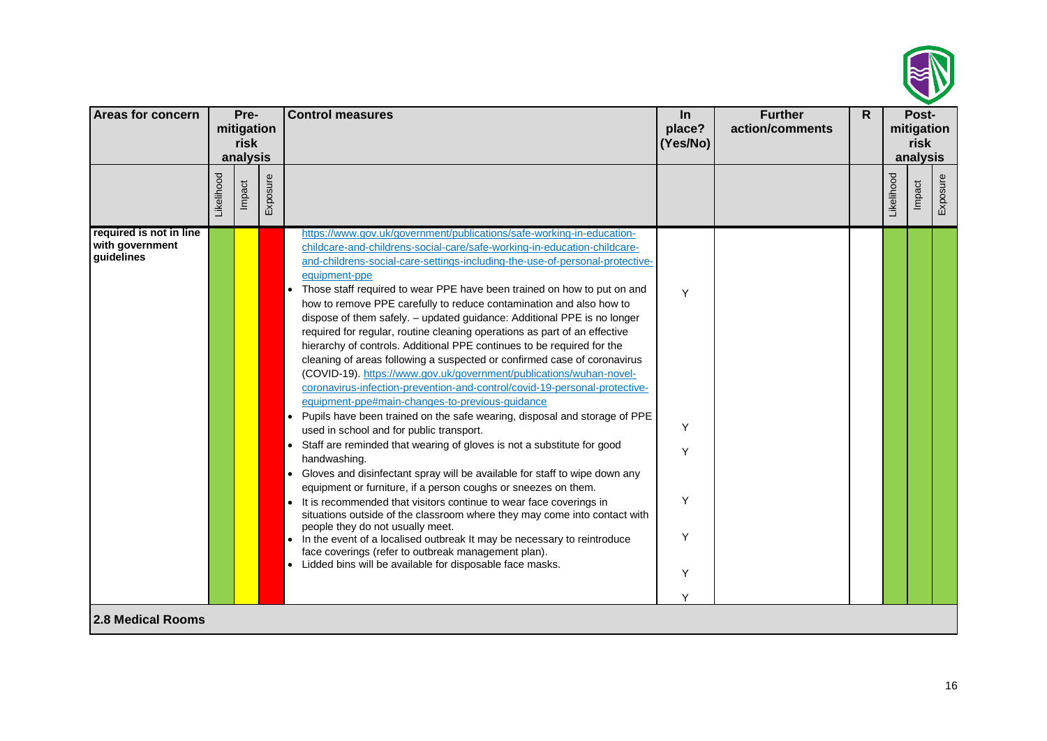

| Areas for concern                                        |            | Pre-<br>mitigation<br>risk<br>analysis |          | <b>Control measures</b>                                                                                                                                                                                                                                                                                                                                                                                                                                                                                                                                                                                                                                                                                                                                                                                                                                                                                                                                                                                                                                                                                                                                                                                                                                                                                                                                                                                                                                                                                                                                                                                                                                                                                          | $\ln$<br>place?<br>(Yes/No)     | <b>Further</b><br>action/comments | R. |            | Post-<br>mitigation<br>risk<br>analysis |          |
|----------------------------------------------------------|------------|----------------------------------------|----------|------------------------------------------------------------------------------------------------------------------------------------------------------------------------------------------------------------------------------------------------------------------------------------------------------------------------------------------------------------------------------------------------------------------------------------------------------------------------------------------------------------------------------------------------------------------------------------------------------------------------------------------------------------------------------------------------------------------------------------------------------------------------------------------------------------------------------------------------------------------------------------------------------------------------------------------------------------------------------------------------------------------------------------------------------------------------------------------------------------------------------------------------------------------------------------------------------------------------------------------------------------------------------------------------------------------------------------------------------------------------------------------------------------------------------------------------------------------------------------------------------------------------------------------------------------------------------------------------------------------------------------------------------------------------------------------------------------------|---------------------------------|-----------------------------------|----|------------|-----------------------------------------|----------|
|                                                          | Likelihood | Impact                                 | Exposure |                                                                                                                                                                                                                                                                                                                                                                                                                                                                                                                                                                                                                                                                                                                                                                                                                                                                                                                                                                                                                                                                                                                                                                                                                                                                                                                                                                                                                                                                                                                                                                                                                                                                                                                  |                                 |                                   |    | Likelihood | Impact                                  | Exposure |
| required is not in line<br>with government<br>guidelines |            |                                        |          | https://www.gov.uk/government/publications/safe-working-in-education-<br>childcare-and-childrens-social-care/safe-working-in-education-childcare-<br>and-childrens-social-care-settings-including-the-use-of-personal-protective-<br>equipment-ppe<br>Those staff required to wear PPE have been trained on how to put on and<br>how to remove PPE carefully to reduce contamination and also how to<br>dispose of them safely. - updated guidance: Additional PPE is no longer<br>required for regular, routine cleaning operations as part of an effective<br>hierarchy of controls. Additional PPE continues to be required for the<br>cleaning of areas following a suspected or confirmed case of coronavirus<br>(COVID-19). https://www.gov.uk/government/publications/wuhan-novel-<br>coronavirus-infection-prevention-and-control/covid-19-personal-protective-<br>equipment-ppe#main-changes-to-previous-guidance<br>Pupils have been trained on the safe wearing, disposal and storage of PPE<br>$\bullet$<br>used in school and for public transport.<br>Staff are reminded that wearing of gloves is not a substitute for good<br>handwashing.<br>Gloves and disinfectant spray will be available for staff to wipe down any<br>$\bullet$<br>equipment or furniture, if a person coughs or sneezes on them.<br>• It is recommended that visitors continue to wear face coverings in<br>situations outside of the classroom where they may come into contact with<br>people they do not usually meet.<br>In the event of a localised outbreak It may be necessary to reintroduce<br>face coverings (refer to outbreak management plan).<br>• Lidded bins will be available for disposable face masks. | Y<br>Y<br>Y<br>Y<br>Υ<br>Y<br>Υ |                                   |    |            |                                         |          |
| <b>2.8 Medical Rooms</b>                                 |            |                                        |          |                                                                                                                                                                                                                                                                                                                                                                                                                                                                                                                                                                                                                                                                                                                                                                                                                                                                                                                                                                                                                                                                                                                                                                                                                                                                                                                                                                                                                                                                                                                                                                                                                                                                                                                  |                                 |                                   |    |            |                                         |          |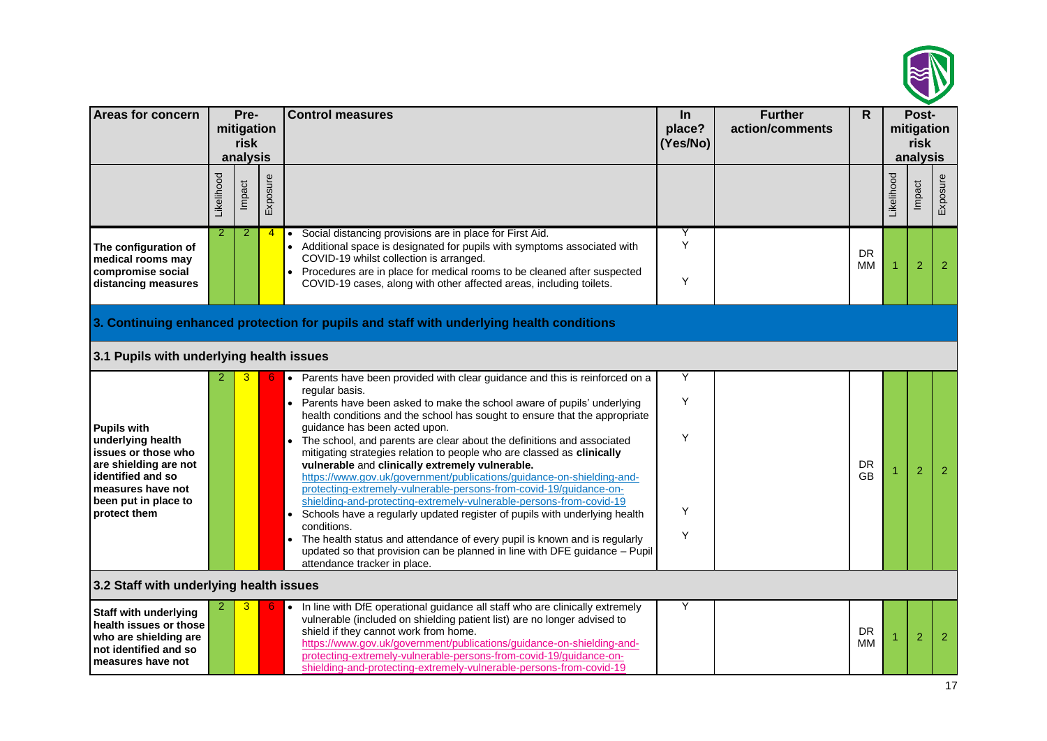

| <b>Areas for concern</b>                                                                                                                                                  |            | Pre-<br>mitigation<br>risk<br>analysis |                | <b>Control measures</b>                                                                                                                                                                                                                                                                                                                                                                                                                                                                                                                                                                                                                                                                                                                                                                                                                                                                                                                                                                                                   | In<br>place?<br>(Yes/No) | <b>Further</b><br>action/comments | $\mathsf{R}$           |            | Post-<br>mitigation<br>risk<br>analysis |                |
|---------------------------------------------------------------------------------------------------------------------------------------------------------------------------|------------|----------------------------------------|----------------|---------------------------------------------------------------------------------------------------------------------------------------------------------------------------------------------------------------------------------------------------------------------------------------------------------------------------------------------------------------------------------------------------------------------------------------------------------------------------------------------------------------------------------------------------------------------------------------------------------------------------------------------------------------------------------------------------------------------------------------------------------------------------------------------------------------------------------------------------------------------------------------------------------------------------------------------------------------------------------------------------------------------------|--------------------------|-----------------------------------|------------------------|------------|-----------------------------------------|----------------|
|                                                                                                                                                                           | Likelihood | Impact                                 | Exposure       |                                                                                                                                                                                                                                                                                                                                                                                                                                                                                                                                                                                                                                                                                                                                                                                                                                                                                                                                                                                                                           |                          |                                   |                        | Likelihood | Impact                                  | Exposure       |
| The configuration of<br>medical rooms may<br>compromise social<br>distancing measures                                                                                     | 2          | 2                                      | $\overline{4}$ | Social distancing provisions are in place for First Aid.<br>$\bullet$<br>• Additional space is designated for pupils with symptoms associated with<br>COVID-19 whilst collection is arranged.<br>Procedures are in place for medical rooms to be cleaned after suspected<br>COVID-19 cases, along with other affected areas, including toilets.                                                                                                                                                                                                                                                                                                                                                                                                                                                                                                                                                                                                                                                                           | Y<br>Y<br>Y              |                                   | <b>DR</b><br>MМ        |            | $\overline{2}$                          | $\overline{2}$ |
| 3.1 Pupils with underlying health issues                                                                                                                                  |            |                                        |                | 3. Continuing enhanced protection for pupils and staff with underlying health conditions                                                                                                                                                                                                                                                                                                                                                                                                                                                                                                                                                                                                                                                                                                                                                                                                                                                                                                                                  |                          |                                   |                        |            |                                         |                |
| <b>Pupils with</b><br>underlying health<br>issues or those who<br>are shielding are not<br>identified and so<br>measures have not<br>been put in place to<br>protect them |            |                                        |                | • Parents have been provided with clear guidance and this is reinforced on a<br>regular basis.<br>Parents have been asked to make the school aware of pupils' underlying<br>$\bullet$<br>health conditions and the school has sought to ensure that the appropriate<br>guidance has been acted upon.<br>The school, and parents are clear about the definitions and associated<br>mitigating strategies relation to people who are classed as clinically<br>vulnerable and clinically extremely vulnerable.<br>https://www.gov.uk/government/publications/guidance-on-shielding-and-<br>protecting-extremely-vulnerable-persons-from-covid-19/guidance-on-<br>shielding-and-protecting-extremely-vulnerable-persons-from-covid-19<br>Schools have a regularly updated register of pupils with underlying health<br>conditions.<br>The health status and attendance of every pupil is known and is regularly<br>updated so that provision can be planned in line with DFE guidance - Pupil<br>attendance tracker in place. | Υ<br>Y<br>Υ<br>Υ<br>Y    |                                   | <b>DR</b><br><b>GB</b> |            | $\overline{2}$                          | $\overline{2}$ |
| 3.2 Staff with underlying health issues                                                                                                                                   |            |                                        |                |                                                                                                                                                                                                                                                                                                                                                                                                                                                                                                                                                                                                                                                                                                                                                                                                                                                                                                                                                                                                                           |                          |                                   |                        |            |                                         |                |
| Staff with underlying<br>health issues or those<br>who are shielding are<br>not identified and so<br>measures have not                                                    |            |                                        |                | In line with DfE operational guidance all staff who are clinically extremely<br>vulnerable (included on shielding patient list) are no longer advised to<br>shield if they cannot work from home.<br>https://www.gov.uk/government/publications/guidance-on-shielding-and-<br>protecting-extremely-vulnerable-persons-from-covid-19/guidance-on-<br>shielding-and-protecting-extremely-vulnerable-persons-from-covid-19                                                                                                                                                                                                                                                                                                                                                                                                                                                                                                                                                                                                   | Y                        |                                   | <b>DR</b><br>ΜМ        |            | $\overline{2}$                          | $\overline{2}$ |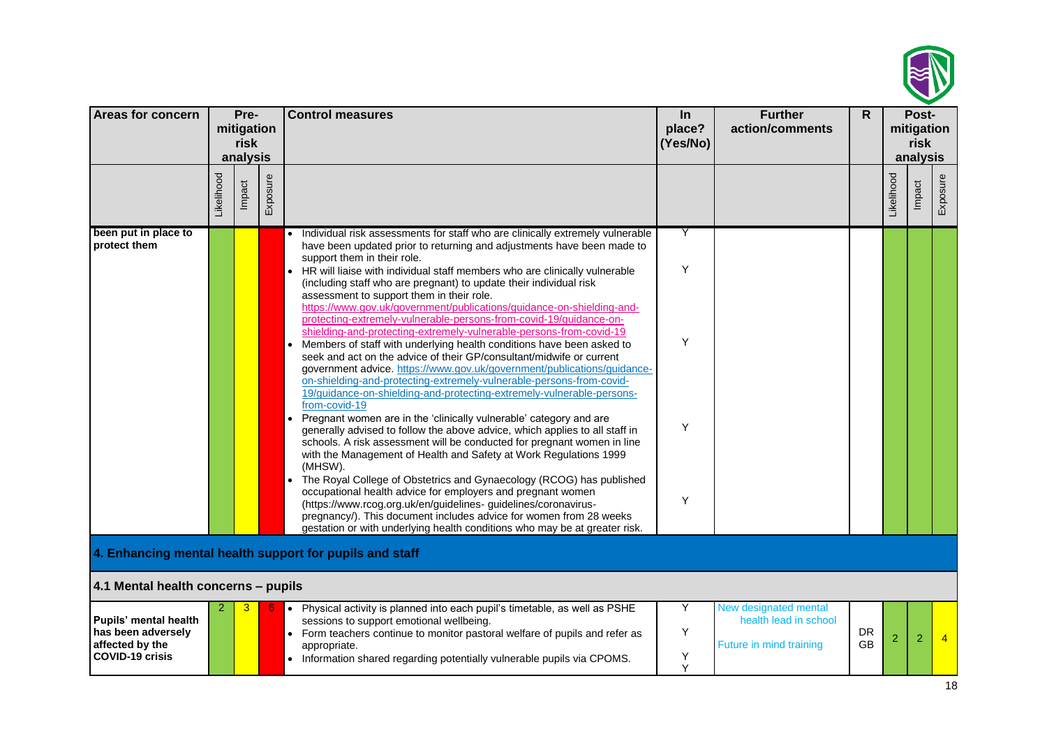

| <b>Areas for concern</b>                                                                 |            | Pre-                           |          | <b>Control measures</b>                                                                                                                                                                                                                                                                                                                                                                                                                                                                                                                                                                                                                                                                                                                                                                                                                                                                                                                                                                                                                                                                                                                                                                                                                                                                                                                                                                                                                                                                                                                                        | $\ln$                 | <b>Further</b>                                                            | $\mathsf{R}$           |            | Post-                          |                |
|------------------------------------------------------------------------------------------|------------|--------------------------------|----------|----------------------------------------------------------------------------------------------------------------------------------------------------------------------------------------------------------------------------------------------------------------------------------------------------------------------------------------------------------------------------------------------------------------------------------------------------------------------------------------------------------------------------------------------------------------------------------------------------------------------------------------------------------------------------------------------------------------------------------------------------------------------------------------------------------------------------------------------------------------------------------------------------------------------------------------------------------------------------------------------------------------------------------------------------------------------------------------------------------------------------------------------------------------------------------------------------------------------------------------------------------------------------------------------------------------------------------------------------------------------------------------------------------------------------------------------------------------------------------------------------------------------------------------------------------------|-----------------------|---------------------------------------------------------------------------|------------------------|------------|--------------------------------|----------------|
|                                                                                          |            | mitigation<br>risk<br>analysis |          |                                                                                                                                                                                                                                                                                                                                                                                                                                                                                                                                                                                                                                                                                                                                                                                                                                                                                                                                                                                                                                                                                                                                                                                                                                                                                                                                                                                                                                                                                                                                                                | place?<br>(Yes/No)    | action/comments                                                           |                        |            | mitigation<br>risk<br>analysis |                |
|                                                                                          | Likelihood | Impact                         | Exposure |                                                                                                                                                                                                                                                                                                                                                                                                                                                                                                                                                                                                                                                                                                                                                                                                                                                                                                                                                                                                                                                                                                                                                                                                                                                                                                                                                                                                                                                                                                                                                                |                       |                                                                           |                        | Likelihood | Impact                         | Exposure       |
| been put in place to<br>protect them                                                     |            |                                |          | Individual risk assessments for staff who are clinically extremely vulnerable<br>have been updated prior to returning and adjustments have been made to<br>support them in their role.<br>HR will liaise with individual staff members who are clinically vulnerable<br>(including staff who are pregnant) to update their individual risk<br>assessment to support them in their role.<br>https://www.gov.uk/government/publications/guidance-on-shielding-and-<br>protecting-extremely-vulnerable-persons-from-covid-19/guidance-on-<br>shielding-and-protecting-extremely-vulnerable-persons-from-covid-19<br>Members of staff with underlying health conditions have been asked to<br>seek and act on the advice of their GP/consultant/midwife or current<br>government advice. https://www.gov.uk/government/publications/guidance-<br>on-shielding-and-protecting-extremely-vulnerable-persons-from-covid-<br>19/guidance-on-shielding-and-protecting-extremely-vulnerable-persons-<br>from-covid-19<br>Pregnant women are in the 'clinically vulnerable' category and are<br>$\bullet$<br>generally advised to follow the above advice, which applies to all staff in<br>schools. A risk assessment will be conducted for pregnant women in line<br>with the Management of Health and Safety at Work Regulations 1999<br>(MHSW).<br>The Royal College of Obstetrics and Gynaecology (RCOG) has published<br>$\bullet$<br>occupational health advice for employers and pregnant women<br>(https://www.rcog.org.uk/en/guidelines-guidelines/coronavirus- | Y<br>Y<br>Y<br>Y<br>Y |                                                                           |                        |            |                                |                |
| 4.1 Mental health concerns - pupils                                                      |            |                                |          | pregnancy/). This document includes advice for women from 28 weeks<br>gestation or with underlying health conditions who may be at greater risk.<br>4. Enhancing mental health support for pupils and staff                                                                                                                                                                                                                                                                                                                                                                                                                                                                                                                                                                                                                                                                                                                                                                                                                                                                                                                                                                                                                                                                                                                                                                                                                                                                                                                                                    |                       |                                                                           |                        |            |                                |                |
| Pupils' mental health<br>has been adversely<br>affected by the<br><b>COVID-19 crisis</b> |            | 3                              |          | Physical activity is planned into each pupil's timetable, as well as PSHE<br>$\bullet$<br>sessions to support emotional wellbeing.<br>• Form teachers continue to monitor pastoral welfare of pupils and refer as<br>appropriate.<br>• Information shared regarding potentially vulnerable pupils via CPOMS.                                                                                                                                                                                                                                                                                                                                                                                                                                                                                                                                                                                                                                                                                                                                                                                                                                                                                                                                                                                                                                                                                                                                                                                                                                                   | Υ<br>Υ<br>Υ<br>Y      | New designated mental<br>health lead in school<br>Future in mind training | <b>DR</b><br><b>GB</b> | 2          | $\overline{2}$                 | $\overline{4}$ |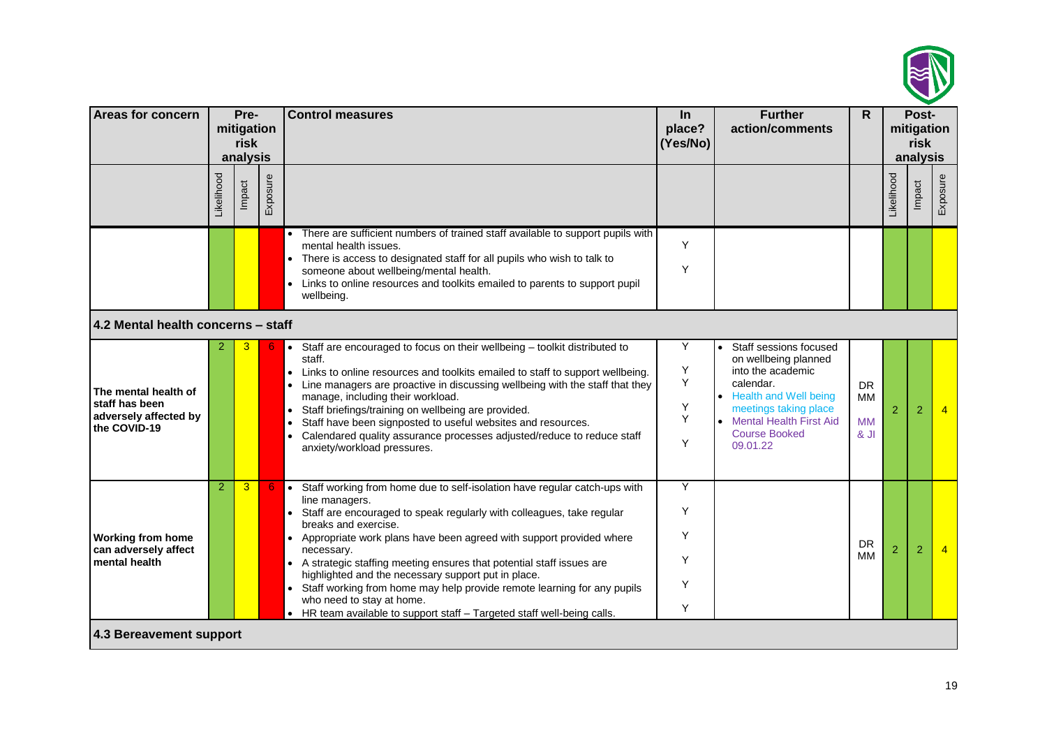

| Areas for concern                                                               |                | Pre-<br>mitigation<br>risk<br>analysis |          | <b>Control measures</b>                                                                                                                                                                                                                                                                                                                                                                                                                                                                                                                                                                                                         | In<br>place?<br>(Yes/No)   | <b>Further</b><br>action/comments                                                                                                                                                                                       | $\mathsf{R}$                               | Post-<br>mitigation<br>risk<br>analysis |                |                |
|---------------------------------------------------------------------------------|----------------|----------------------------------------|----------|---------------------------------------------------------------------------------------------------------------------------------------------------------------------------------------------------------------------------------------------------------------------------------------------------------------------------------------------------------------------------------------------------------------------------------------------------------------------------------------------------------------------------------------------------------------------------------------------------------------------------------|----------------------------|-------------------------------------------------------------------------------------------------------------------------------------------------------------------------------------------------------------------------|--------------------------------------------|-----------------------------------------|----------------|----------------|
|                                                                                 | ikelihood      | Impact                                 | Exposure |                                                                                                                                                                                                                                                                                                                                                                                                                                                                                                                                                                                                                                 |                            |                                                                                                                                                                                                                         |                                            | _ikelihood                              | Impact         | Exposure       |
| 4.2 Mental health concerns - staff                                              |                |                                        |          | There are sufficient numbers of trained staff available to support pupils with<br>mental health issues.<br>There is access to designated staff for all pupils who wish to talk to<br>someone about wellbeing/mental health.<br>Links to online resources and toolkits emailed to parents to support pupil<br>wellbeing.                                                                                                                                                                                                                                                                                                         | Y<br>Y                     |                                                                                                                                                                                                                         |                                            |                                         |                |                |
| The mental health of<br>staff has been<br>adversely affected by<br>the COVID-19 | 2              | 3                                      |          | Staff are encouraged to focus on their wellbeing - toolkit distributed to<br>$\bullet$<br>staff.<br>Links to online resources and toolkits emailed to staff to support wellbeing.<br>Line managers are proactive in discussing wellbeing with the staff that they<br>manage, including their workload.<br>Staff briefings/training on wellbeing are provided.<br>$\bullet$<br>Staff have been signposted to useful websites and resources.<br>$\bullet$<br>Calendared quality assurance processes adjusted/reduce to reduce staff<br>anxiety/workload pressures.                                                                | Υ<br>Υ<br>Υ<br>Υ<br>Y<br>Y | Staff sessions focused<br>$\bullet$<br>on wellbeing planned<br>into the academic<br>calendar.<br><b>Health and Well being</b><br>meetings taking place<br>• Mental Health First Aid<br><b>Course Booked</b><br>09.01.22 | <b>DR</b><br><b>MM</b><br><b>MM</b><br>8Jl | $\overline{2}$                          | 2              | $\overline{4}$ |
| <b>Working from home</b><br>can adversely affect<br>mental health               | $\overline{2}$ | 3                                      |          | Staff working from home due to self-isolation have regular catch-ups with<br>$\bullet$<br>line managers.<br>Staff are encouraged to speak regularly with colleagues, take regular<br>breaks and exercise.<br>Appropriate work plans have been agreed with support provided where<br>$\bullet$<br>necessary.<br>• A strategic staffing meeting ensures that potential staff issues are<br>highlighted and the necessary support put in place.<br>Staff working from home may help provide remote learning for any pupils<br>who need to stay at home.<br>• HR team available to support staff - Targeted staff well-being calls. | Υ<br>Y<br>Y<br>Y<br>Y<br>Υ |                                                                                                                                                                                                                         | <b>DR</b><br><b>MM</b>                     | $\overline{2}$                          | $\overline{2}$ | $\overline{4}$ |
| 4.3 Bereavement support                                                         |                |                                        |          |                                                                                                                                                                                                                                                                                                                                                                                                                                                                                                                                                                                                                                 |                            |                                                                                                                                                                                                                         |                                            |                                         |                |                |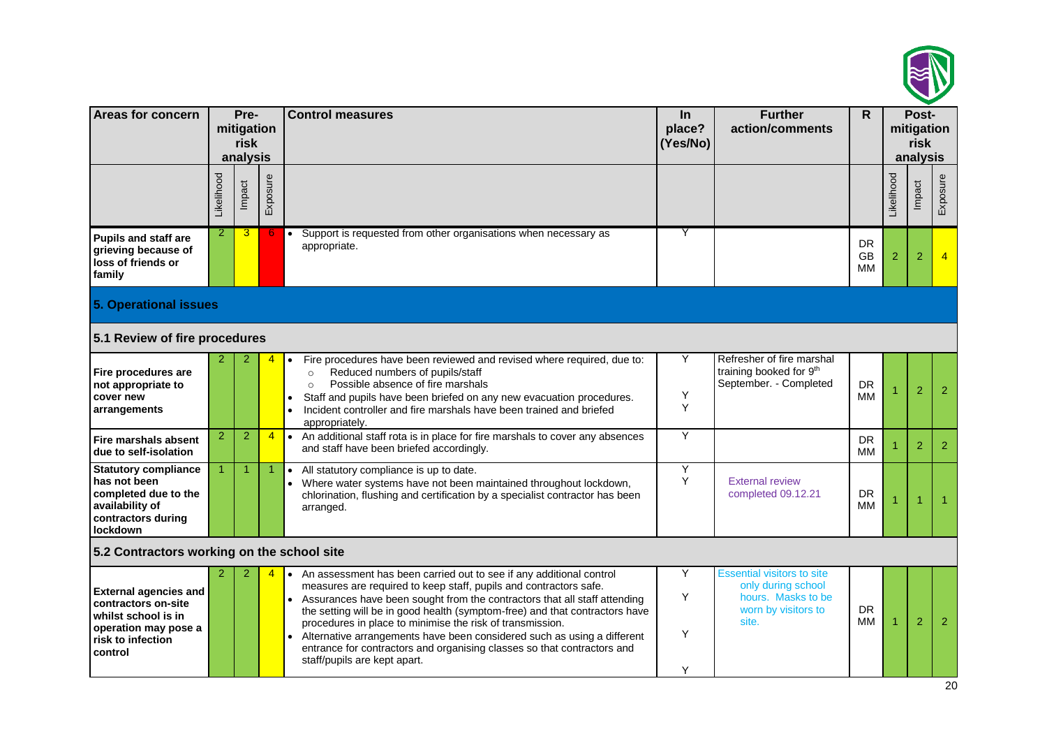

| <b>Areas for concern</b>                                                                                                           |                | Pre-<br>mitigation<br>risk<br>analysis |                | <b>Control measures</b>                                                                                                                                                                                                                                                                                                                                                                                                                                                                                                                                              | <b>Further</b><br>$\ln$<br>action/comments<br>place?<br>(Yes/No) |                                                                                                               |                              |            | Post-<br>mitigation<br><b>risk</b><br>analysis |                      |
|------------------------------------------------------------------------------------------------------------------------------------|----------------|----------------------------------------|----------------|----------------------------------------------------------------------------------------------------------------------------------------------------------------------------------------------------------------------------------------------------------------------------------------------------------------------------------------------------------------------------------------------------------------------------------------------------------------------------------------------------------------------------------------------------------------------|------------------------------------------------------------------|---------------------------------------------------------------------------------------------------------------|------------------------------|------------|------------------------------------------------|----------------------|
|                                                                                                                                    | Likelihood     | Impact                                 | Exposure       |                                                                                                                                                                                                                                                                                                                                                                                                                                                                                                                                                                      |                                                                  |                                                                                                               |                              | _ikelihood | Impact                                         | Exposure             |
| Pupils and staff are<br>grieving because of<br>loss of friends or<br>family                                                        | $\overline{2}$ | 3                                      | -6             | Support is requested from other organisations when necessary as<br>$\bullet$<br>appropriate.                                                                                                                                                                                                                                                                                                                                                                                                                                                                         | Y                                                                |                                                                                                               | <b>DR</b><br><b>GB</b><br>MМ | 2          | $\overline{2}$                                 | $\overline{4}$       |
| <b>5. Operational issues</b>                                                                                                       |                |                                        |                |                                                                                                                                                                                                                                                                                                                                                                                                                                                                                                                                                                      |                                                                  |                                                                                                               |                              |            |                                                |                      |
| 5.1 Review of fire procedures                                                                                                      |                |                                        |                |                                                                                                                                                                                                                                                                                                                                                                                                                                                                                                                                                                      |                                                                  |                                                                                                               |                              |            |                                                |                      |
| Fire procedures are<br>not appropriate to<br>cover new<br>arrangements                                                             |                |                                        |                | Fire procedures have been reviewed and revised where required, due to:<br>$\bullet$<br>Reduced numbers of pupils/staff<br>$\circ$<br>Possible absence of fire marshals<br>$\circ$<br>Staff and pupils have been briefed on any new evacuation procedures.<br>Incident controller and fire marshals have been trained and briefed<br>appropriately.                                                                                                                                                                                                                   | Y<br>Υ<br>Y                                                      | Refresher of fire marshal<br>training booked for 9th<br>September. - Completed                                | DR<br>ΜМ                     |            | $\overline{2}$                                 | 2                    |
| Fire marshals absent<br>due to self-isolation                                                                                      | $\overline{2}$ | $\overline{2}$                         | $\overline{4}$ | An additional staff rota is in place for fire marshals to cover any absences<br>$\bullet$<br>and staff have been briefed accordingly.                                                                                                                                                                                                                                                                                                                                                                                                                                | Y                                                                |                                                                                                               | DR<br>ΜМ                     |            | 2                                              | 2                    |
| <b>Statutory compliance</b><br>has not been<br>completed due to the<br>availability of<br>contractors during<br><b>lockdown</b>    |                | 1                                      |                | All statutory compliance is up to date.<br>$\bullet$<br>Where water systems have not been maintained throughout lockdown,<br>chlorination, flushing and certification by a specialist contractor has been<br>arranged.                                                                                                                                                                                                                                                                                                                                               | Y<br>Y                                                           | <b>External review</b><br>completed 09.12.21                                                                  | <b>DR</b><br>МM              |            |                                                | $\blacktriangleleft$ |
| 5.2 Contractors working on the school site                                                                                         |                |                                        |                |                                                                                                                                                                                                                                                                                                                                                                                                                                                                                                                                                                      |                                                                  |                                                                                                               |                              |            |                                                |                      |
| <b>External agencies and</b><br>contractors on-site<br>whilst school is in<br>operation may pose a<br>risk to infection<br>control | 2              | 2                                      |                | An assessment has been carried out to see if any additional control<br>$\bullet$<br>measures are required to keep staff, pupils and contractors safe.<br>Assurances have been sought from the contractors that all staff attending<br>the setting will be in good health (symptom-free) and that contractors have<br>procedures in place to minimise the risk of transmission.<br>Alternative arrangements have been considered such as using a different<br>entrance for contractors and organising classes so that contractors and<br>staff/pupils are kept apart. | Υ<br>Y<br>Y<br>Y                                                 | <b>Essential visitors to site</b><br>only during school<br>hours. Masks to be<br>worn by visitors to<br>site. | <b>DR</b><br>ΜМ              |            | $\overline{2}$                                 | 2                    |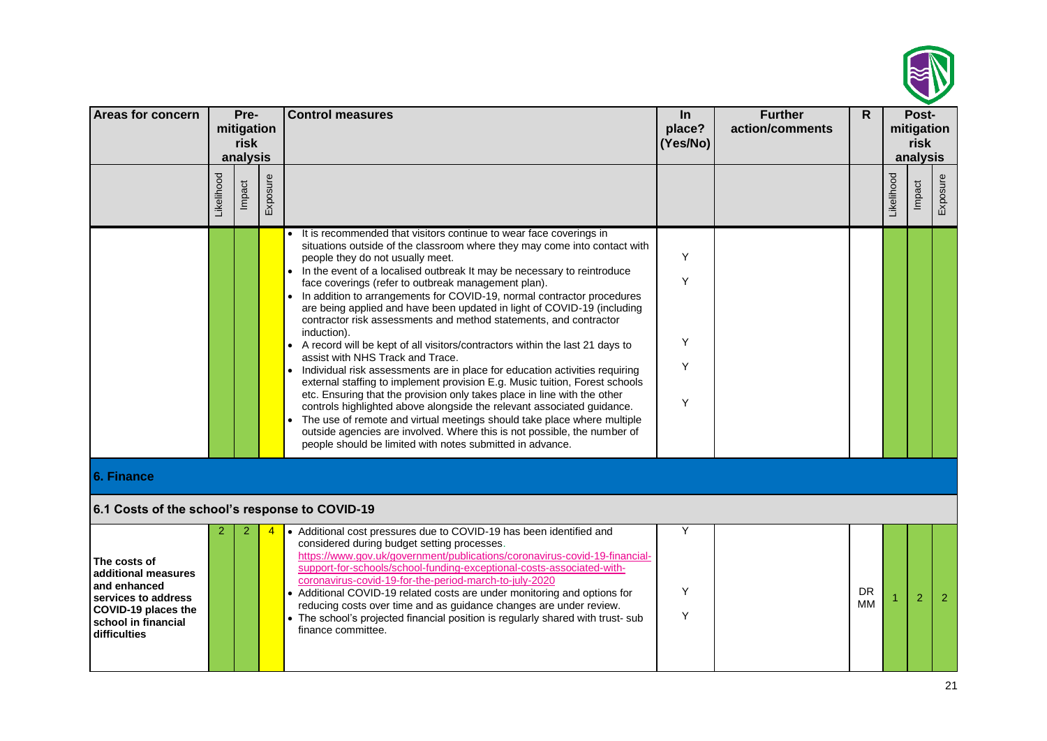

| <b>Areas for concern</b>                                                                                                                 | Pre-<br>mitigation<br>risk |        |          | <b>Control measures</b>                                                                                                                                                                                                                                                                                                                                                                                                                                                                                                                                                                                                                                                                                                                                                                                                                                                                                                                                                                                                                                                                                                                                                                                                                     | In<br>place?<br>(Yes/No) | <b>Further</b><br>action/comments | $\mathsf{R}$ | Post-<br>mitigation<br>risk |                |                |
|------------------------------------------------------------------------------------------------------------------------------------------|----------------------------|--------|----------|---------------------------------------------------------------------------------------------------------------------------------------------------------------------------------------------------------------------------------------------------------------------------------------------------------------------------------------------------------------------------------------------------------------------------------------------------------------------------------------------------------------------------------------------------------------------------------------------------------------------------------------------------------------------------------------------------------------------------------------------------------------------------------------------------------------------------------------------------------------------------------------------------------------------------------------------------------------------------------------------------------------------------------------------------------------------------------------------------------------------------------------------------------------------------------------------------------------------------------------------|--------------------------|-----------------------------------|--------------|-----------------------------|----------------|----------------|
|                                                                                                                                          | analysis                   |        |          |                                                                                                                                                                                                                                                                                                                                                                                                                                                                                                                                                                                                                                                                                                                                                                                                                                                                                                                                                                                                                                                                                                                                                                                                                                             |                          |                                   | analysis     |                             |                |                |
|                                                                                                                                          | Likelihood                 | Impact | Exposure |                                                                                                                                                                                                                                                                                                                                                                                                                                                                                                                                                                                                                                                                                                                                                                                                                                                                                                                                                                                                                                                                                                                                                                                                                                             |                          |                                   |              | Likelihood                  | Impact         | Exposure       |
|                                                                                                                                          |                            |        |          | • It is recommended that visitors continue to wear face coverings in<br>situations outside of the classroom where they may come into contact with<br>people they do not usually meet.<br>In the event of a localised outbreak It may be necessary to reintroduce<br>face coverings (refer to outbreak management plan).<br>• In addition to arrangements for COVID-19, normal contractor procedures<br>are being applied and have been updated in light of COVID-19 (including<br>contractor risk assessments and method statements, and contractor<br>induction).<br>A record will be kept of all visitors/contractors within the last 21 days to<br>$\bullet$<br>assist with NHS Track and Trace.<br>Individual risk assessments are in place for education activities requiring<br>external staffing to implement provision E.g. Music tuition, Forest schools<br>etc. Ensuring that the provision only takes place in line with the other<br>controls highlighted above alongside the relevant associated guidance.<br>The use of remote and virtual meetings should take place where multiple<br>outside agencies are involved. Where this is not possible, the number of<br>people should be limited with notes submitted in advance. | Υ<br>Υ<br>Υ<br>Y<br>Y    |                                   |              |                             |                |                |
| 6. Finance                                                                                                                               |                            |        |          |                                                                                                                                                                                                                                                                                                                                                                                                                                                                                                                                                                                                                                                                                                                                                                                                                                                                                                                                                                                                                                                                                                                                                                                                                                             |                          |                                   |              |                             |                |                |
| 6.1 Costs of the school's response to COVID-19                                                                                           |                            |        |          |                                                                                                                                                                                                                                                                                                                                                                                                                                                                                                                                                                                                                                                                                                                                                                                                                                                                                                                                                                                                                                                                                                                                                                                                                                             |                          |                                   |              |                             |                |                |
| The costs of<br>additional measures<br>and enhanced<br>services to address<br>COVID-19 places the<br>school in financial<br>difficulties |                            |        |          | • Additional cost pressures due to COVID-19 has been identified and<br>considered during budget setting processes.<br>https://www.gov.uk/government/publications/coronavirus-covid-19-financial-<br>support-for-schools/school-funding-exceptional-costs-associated-with-<br>coronavirus-covid-19-for-the-period-march-to-july-2020<br>• Additional COVID-19 related costs are under monitoring and options for<br>reducing costs over time and as guidance changes are under review.<br>• The school's projected financial position is regularly shared with trust- sub<br>finance committee.                                                                                                                                                                                                                                                                                                                                                                                                                                                                                                                                                                                                                                              | Υ<br>Y<br>Y              |                                   | DR<br>ΜМ     |                             | $\overline{2}$ | $\overline{2}$ |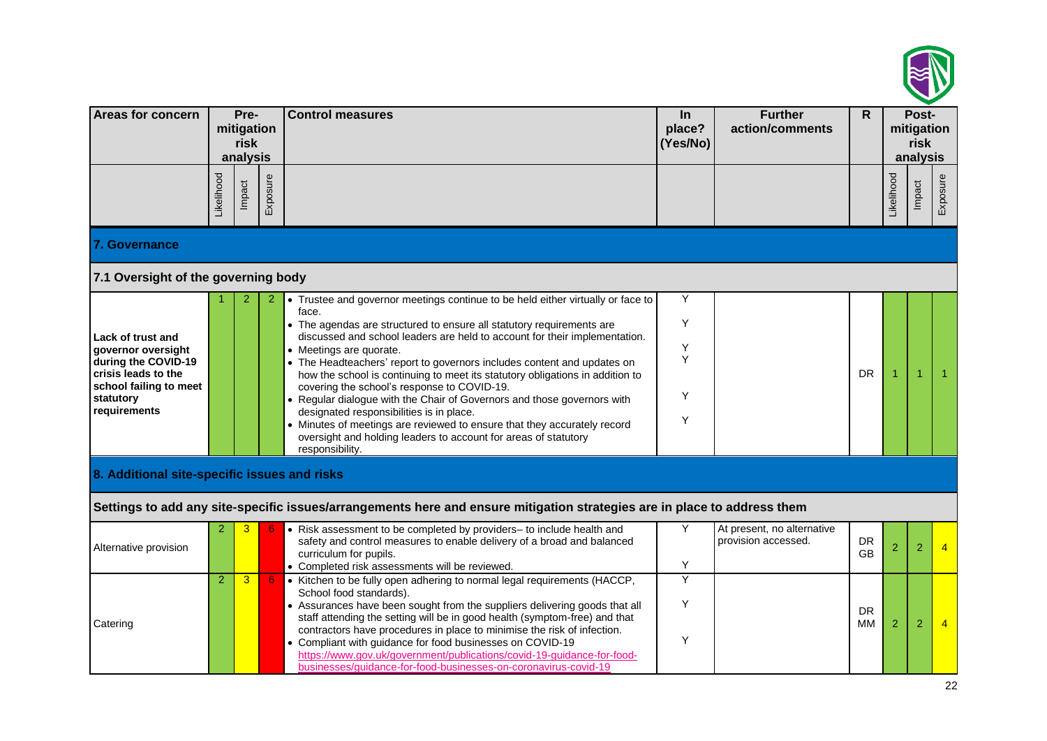

| Areas for concern                                                                                                                            | Pre-<br>mitigation<br>risk<br>analysis |        |          | <b>Control measures</b>                                                                                                                                                                                                                                                                                                                                                                                                                                                                                                                                                                                                                                                                                                                                                        | $\ln$<br>place?<br>(Yes/No) | <b>Further</b><br>action/comments                 | Post-<br>$\mathsf{R}$<br>mitigation<br>risk<br>analysis |            |        |                |
|----------------------------------------------------------------------------------------------------------------------------------------------|----------------------------------------|--------|----------|--------------------------------------------------------------------------------------------------------------------------------------------------------------------------------------------------------------------------------------------------------------------------------------------------------------------------------------------------------------------------------------------------------------------------------------------------------------------------------------------------------------------------------------------------------------------------------------------------------------------------------------------------------------------------------------------------------------------------------------------------------------------------------|-----------------------------|---------------------------------------------------|---------------------------------------------------------|------------|--------|----------------|
|                                                                                                                                              | Likelihood                             | Impact | Exposure |                                                                                                                                                                                                                                                                                                                                                                                                                                                                                                                                                                                                                                                                                                                                                                                |                             |                                                   |                                                         | Likelihood | Impact | Exposure       |
| <b>7. Governance</b>                                                                                                                         |                                        |        |          |                                                                                                                                                                                                                                                                                                                                                                                                                                                                                                                                                                                                                                                                                                                                                                                |                             |                                                   |                                                         |            |        |                |
| 7.1 Oversight of the governing body                                                                                                          |                                        |        |          |                                                                                                                                                                                                                                                                                                                                                                                                                                                                                                                                                                                                                                                                                                                                                                                |                             |                                                   |                                                         |            |        |                |
| Lack of trust and<br>governor oversight<br>during the COVID-19<br>crisis leads to the<br>school failing to meet<br>statutory<br>requirements |                                        |        |          | • Trustee and governor meetings continue to be held either virtually or face to<br>face.<br>• The agendas are structured to ensure all statutory requirements are<br>discussed and school leaders are held to account for their implementation.<br>• Meetings are quorate.<br>• The Headteachers' report to governors includes content and updates on<br>how the school is continuing to meet its statutory obligations in addition to<br>covering the school's response to COVID-19.<br>• Regular dialogue with the Chair of Governors and those governors with<br>designated responsibilities is in place.<br>• Minutes of meetings are reviewed to ensure that they accurately record<br>oversight and holding leaders to account for areas of statutory<br>responsibility. | Y<br>Y<br>Υ<br>Y<br>Y<br>Y  |                                                   | <b>DR</b>                                               |            |        |                |
| 8. Additional site-specific issues and risks                                                                                                 |                                        |        |          |                                                                                                                                                                                                                                                                                                                                                                                                                                                                                                                                                                                                                                                                                                                                                                                |                             |                                                   |                                                         |            |        |                |
|                                                                                                                                              |                                        |        |          | Settings to add any site-specific issues/arrangements here and ensure mitigation strategies are in place to address them                                                                                                                                                                                                                                                                                                                                                                                                                                                                                                                                                                                                                                                       |                             |                                                   |                                                         |            |        |                |
| Alternative provision                                                                                                                        |                                        |        |          | • Risk assessment to be completed by providers- to include health and<br>safety and control measures to enable delivery of a broad and balanced<br>curriculum for pupils.<br>• Completed risk assessments will be reviewed.                                                                                                                                                                                                                                                                                                                                                                                                                                                                                                                                                    | Y<br>Y                      | At present, no alternative<br>provision accessed. | <b>DR</b><br><b>GB</b>                                  | 2          | 2      |                |
| Catering                                                                                                                                     | $\overline{2}$                         | 3      | -6       | • Kitchen to be fully open adhering to normal legal requirements (HACCP,<br>School food standards).<br>• Assurances have been sought from the suppliers delivering goods that all<br>staff attending the setting will be in good health (symptom-free) and that<br>contractors have procedures in place to minimise the risk of infection.<br>• Compliant with guidance for food businesses on COVID-19<br>https://www.gov.uk/government/publications/covid-19-guidance-for-food-<br>businesses/guidance-for-food-businesses-on-coronavirus-covid-19                                                                                                                                                                                                                           | Υ<br>Υ<br>Y                 |                                                   | <b>DR</b><br>MМ                                         | 2          | 2      | $\overline{4}$ |